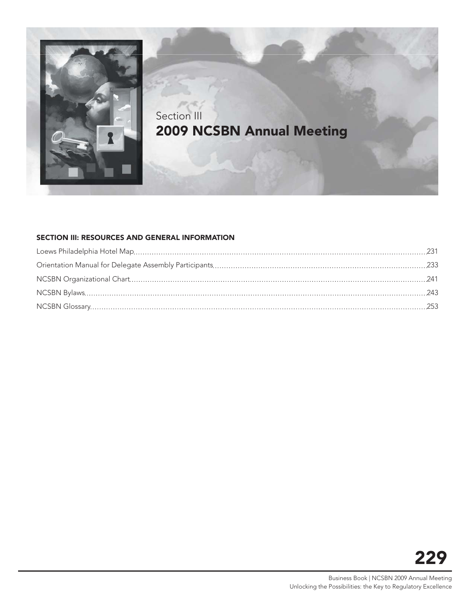

# Section III **2009 NCSBN Annual Meeting**

#### **SECTION III: RESOURCES AND GENERAL INFORMATION**

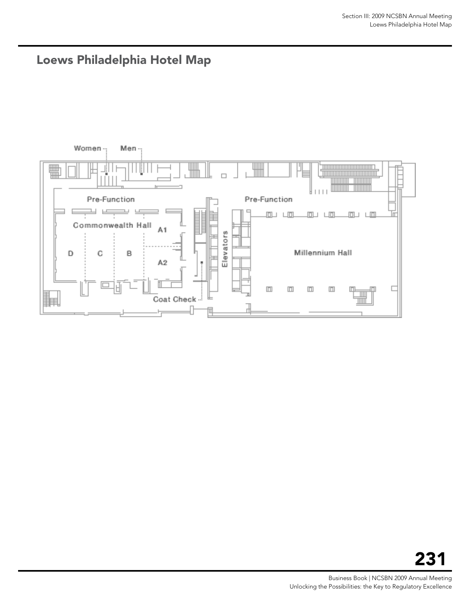<span id="page-2-0"></span>

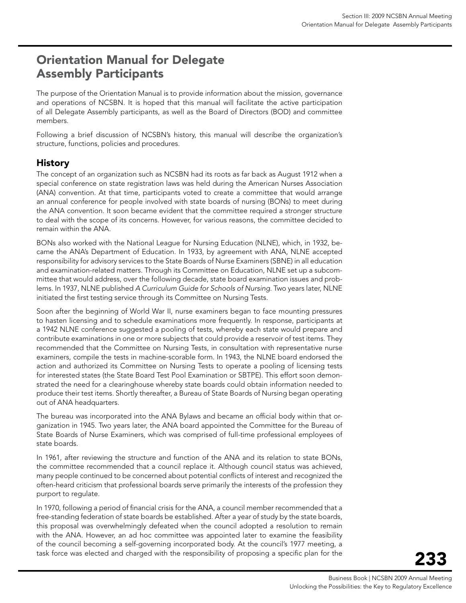# <span id="page-4-0"></span>Orientation Manual for Delegate Assembly Participants

The purpose of the Orientation Manual is to provide information about the mission, governance and operations of NCSBN. It is hoped that this manual will facilitate the active participation of all Delegate Assembly participants, as well as the Board of Directors (BOD) and committee members.

Following a brief discussion of NCSBN's history, this manual will describe the organization's structure, functions, policies and procedures.

# History

The concept of an organization such as NCSBN had its roots as far back as August 1912 when a special conference on state registration laws was held during the American Nurses Association (ANA) convention. At that time, participants voted to create a committee that would arrange an annual conference for people involved with state boards of nursing (BONs) to meet during the ANA convention. It soon became evident that the committee required a stronger structure to deal with the scope of its concerns. However, for various reasons, the committee decided to remain within the ANA.

BONs also worked with the National League for Nursing Education (NLNE), which, in 1932, became the ANA's Department of Education. In 1933, by agreement with ANA, NLNE accepted responsibility for advisory services to the State Boards of Nurse Examiners (SBNE) in all education and examination-related matters. Through its Committee on Education, NLNE set up a subcommittee that would address, over the following decade, state board examination issues and problems. In 1937, NLNE published *A Curriculum Guide for Schools of Nursing*. Two years later, NLNE initiated the first testing service through its Committee on Nursing Tests.

Soon after the beginning of World War II, nurse examiners began to face mounting pressures to hasten licensing and to schedule examinations more frequently. In response, participants at a 1942 NLNE conference suggested a pooling of tests, whereby each state would prepare and contribute examinations in one or more subjects that could provide a reservoir of test items. They recommended that the Committee on Nursing Tests, in consultation with representative nurse examiners, compile the tests in machine-scorable form. In 1943, the NLNE board endorsed the action and authorized its Committee on Nursing Tests to operate a pooling of licensing tests for interested states (the State Board Test Pool Examination or SBTPE). This effort soon demonstrated the need for a clearinghouse whereby state boards could obtain information needed to produce their test items. Shortly thereafter, a Bureau of State Boards of Nursing began operating out of ANA headquarters.

The bureau was incorporated into the ANA Bylaws and became an official body within that organization in 1945. Two years later, the ANA board appointed the Committee for the Bureau of State Boards of Nurse Examiners, which was comprised of full-time professional employees of state boards.

In 1961, after reviewing the structure and function of the ANA and its relation to state BONs, the committee recommended that a council replace it. Although council status was achieved, many people continued to be concerned about potential conflicts of interest and recognized the often-heard criticism that professional boards serve primarily the interests of the profession they purport to regulate.

In 1970, following a period of financial crisis for the ANA, a council member recommended that a free-standing federation of state boards be established. After a year of study by the state boards, this proposal was overwhelmingly defeated when the council adopted a resolution to remain with the ANA. However, an ad hoc committee was appointed later to examine the feasibility of the council becoming a self-governing incorporated body. At the council's 1977 meeting, a task force was elected and charged with the responsibility of proposing a specific plan for the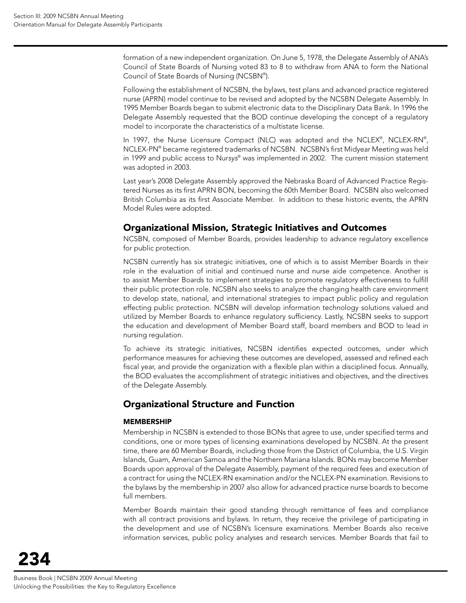formation of a new independent organization. On June 5, 1978, the Delegate Assembly of ANA's Council of State Boards of Nursing voted 83 to 8 to withdraw from ANA to form the National Council of State Boards of Nursing (NCSBN® ).

Following the establishment of NCSBN, the bylaws, test plans and advanced practice registered nurse (APRN) model continue to be revised and adopted by the NCSBN Delegate Assembly. In 1995 Member Boards began to submit electronic data to the Disciplinary Data Bank. In 1996 the Delegate Assembly requested that the BOD continue developing the concept of a regulatory model to incorporate the characteristics of a multistate license.

In 1997, the Nurse Licensure Compact (NLC) was adopted and the NCLEX®, NCLEX-RN®, NCLEX-PN® became registered trademarks of NCSBN. NCSBN's first Midyear Meeting was held in 1999 and public access to Nur*sys*® was implemented in 2002. The current mission statement was adopted in 2003.

Last year's 2008 Delegate Assembly approved the Nebraska Board of Advanced Practice Registered Nurses as its first APRN BON, becoming the 60th Member Board. NCSBN also welcomed British Columbia as its first Associate Member. In addition to these historic events, the APRN Model Rules were adopted.

## Organizational Mission, Strategic Initiatives and Outcomes

NCSBN, composed of Member Boards, provides leadership to advance regulatory excellence for public protection.

NCSBN currently has six strategic initiatives, one of which is to assist Member Boards in their role in the evaluation of initial and continued nurse and nurse aide competence. Another is to assist Member Boards to implement strategies to promote regulatory effectiveness to fulfill their public protection role. NCSBN also seeks to analyze the changing health care environment to develop state, national, and international strategies to impact public policy and regulation effecting public protection. NCSBN will develop information technology solutions valued and utilized by Member Boards to enhance regulatory sufficiency. Lastly, NCSBN seeks to support the education and development of Member Board staff, board members and BOD to lead in nursing regulation.

To achieve its strategic initiatives, NCSBN identifies expected outcomes, under which performance measures for achieving these outcomes are developed, assessed and refined each fiscal year, and provide the organization with a flexible plan within a disciplined focus. Annually, the BOD evaluates the accomplishment of strategic initiatives and objectives, and the directives of the Delegate Assembly.

# Organizational Structure and Function

#### MEMBERSHIP

Membership in NCSBN is extended to those BONs that agree to use, under specified terms and conditions, one or more types of licensing examinations developed by NCSBN. At the present time, there are 60 Member Boards, including those from the District of Columbia, the U.S. Virgin Islands, Guam, American Samoa and the Northern Mariana Islands. BONs may become Member Boards upon approval of the Delegate Assembly, payment of the required fees and execution of a contract for using the NCLEX-RN examination and/or the NCLEX-PN examination. Revisions to the bylaws by the membership in 2007 also allow for advanced practice nurse boards to become full members.

Member Boards maintain their good standing through remittance of fees and compliance with all contract provisions and bylaws. In return, they receive the privilege of participating in the development and use of NCSBN's licensure examinations. Member Boards also receive information services, public policy analyses and research services. Member Boards that fail to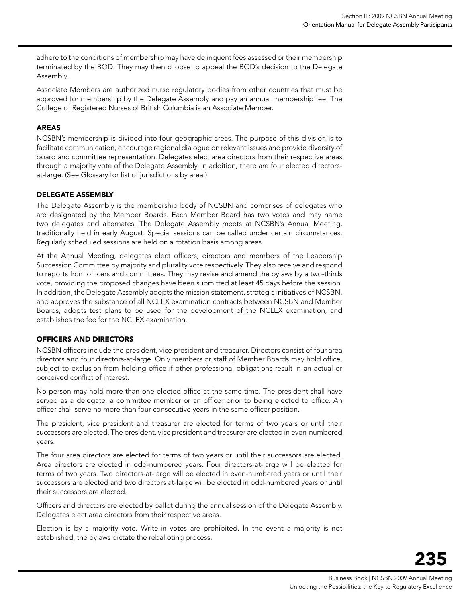adhere to the conditions of membership may have delinquent fees assessed or their membership terminated by the BOD. They may then choose to appeal the BOD's decision to the Delegate Assembly.

Associate Members are authorized nurse regulatory bodies from other countries that must be approved for membership by the Delegate Assembly and pay an annual membership fee. The College of Registered Nurses of British Columbia is an Associate Member.

#### AREAS

NCSBN's membership is divided into four geographic areas. The purpose of this division is to facilitate communication, encourage regional dialogue on relevant issues and provide diversity of board and committee representation. Delegates elect area directors from their respective areas through a majority vote of the Delegate Assembly. In addition, there are four elected directorsat-large. (See Glossary for list of jurisdictions by area.)

#### DELEGATE ASSEMBLY

The Delegate Assembly is the membership body of NCSBN and comprises of delegates who are designated by the Member Boards. Each Member Board has two votes and may name two delegates and alternates. The Delegate Assembly meets at NCSBN's Annual Meeting, traditionally held in early August. Special sessions can be called under certain circumstances. Regularly scheduled sessions are held on a rotation basis among areas.

At the Annual Meeting, delegates elect officers, directors and members of the Leadership Succession Committee by majority and plurality vote respectively. They also receive and respond to reports from officers and committees. They may revise and amend the bylaws by a two-thirds vote, providing the proposed changes have been submitted at least 45 days before the session. In addition, the Delegate Assembly adopts the mission statement, strategic initiatives of NCSBN, and approves the substance of all NCLEX examination contracts between NCSBN and Member Boards, adopts test plans to be used for the development of the NCLEX examination, and establishes the fee for the NCLEX examination.

#### OFFICERS AND DIRECTORS

NCSBN officers include the president, vice president and treasurer. Directors consist of four area directors and four directors-at-large. Only members or staff of Member Boards may hold office, subject to exclusion from holding office if other professional obligations result in an actual or perceived conflict of interest.

No person may hold more than one elected office at the same time. The president shall have served as a delegate, a committee member or an officer prior to being elected to office. An officer shall serve no more than four consecutive years in the same officer position.

The president, vice president and treasurer are elected for terms of two years or until their successors are elected. The president, vice president and treasurer are elected in even-numbered years.

The four area directors are elected for terms of two years or until their successors are elected. Area directors are elected in odd-numbered years. Four directors-at-large will be elected for terms of two years. Two directors-at-large will be elected in even-numbered years or until their successors are elected and two directors at-large will be elected in odd-numbered years or until their successors are elected.

Officers and directors are elected by ballot during the annual session of the Delegate Assembly. Delegates elect area directors from their respective areas.

Election is by a majority vote. Write-in votes are prohibited. In the event a majority is not established, the bylaws dictate the reballoting process.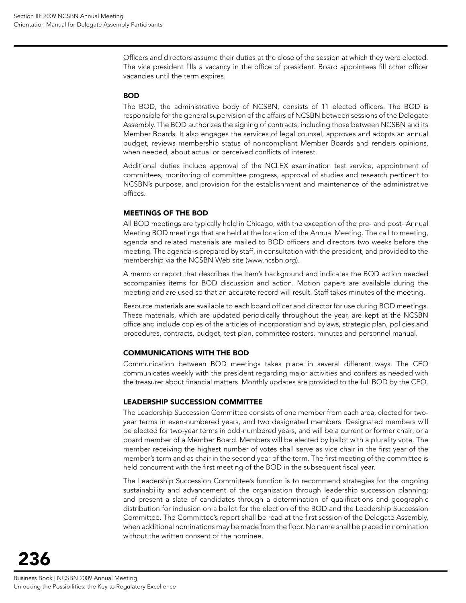Officers and directors assume their duties at the close of the session at which they were elected. The vice president fills a vacancy in the office of president. Board appointees fill other officer vacancies until the term expires.

#### BOD

The BOD, the administrative body of NCSBN, consists of 11 elected officers. The BOD is responsible for the general supervision of the affairs of NCSBN between sessions of the Delegate Assembly. The BOD authorizes the signing of contracts, including those between NCSBN and its Member Boards. It also engages the services of legal counsel, approves and adopts an annual budget, reviews membership status of noncompliant Member Boards and renders opinions, when needed, about actual or perceived conflicts of interest.

Additional duties include approval of the NCLEX examination test service, appointment of committees, monitoring of committee progress, approval of studies and research pertinent to NCSBN's purpose, and provision for the establishment and maintenance of the administrative offices.

#### MEETINGS OF THE BOD

All BOD meetings are typically held in Chicago, with the exception of the pre- and post- Annual Meeting BOD meetings that are held at the location of the Annual Meeting. The call to meeting, agenda and related materials are mailed to BOD officers and directors two weeks before the meeting. The agenda is prepared by staff, in consultation with the president, and provided to the membership via the NCSBN Web site (www.ncsbn.org).

A memo or report that describes the item's background and indicates the BOD action needed accompanies items for BOD discussion and action. Motion papers are available during the meeting and are used so that an accurate record will result. Staff takes minutes of the meeting.

Resource materials are available to each board officer and director for use during BOD meetings. These materials, which are updated periodically throughout the year, are kept at the NCSBN office and include copies of the articles of incorporation and bylaws, strategic plan, policies and procedures, contracts, budget, test plan, committee rosters, minutes and personnel manual.

#### COMMUNICATIONS WITH THE BOD

Communication between BOD meetings takes place in several different ways. The CEO communicates weekly with the president regarding major activities and confers as needed with the treasurer about financial matters. Monthly updates are provided to the full BOD by the CEO.

#### Leadership Succession Committee

The Leadership Succession Committee consists of one member from each area, elected for twoyear terms in even-numbered years, and two designated members. Designated members will be elected for two-year terms in odd-numbered years, and will be a current or former chair; or a board member of a Member Board. Members will be elected by ballot with a plurality vote. The member receiving the highest number of votes shall serve as vice chair in the first year of the member's term and as chair in the second year of the term. The first meeting of the committee is held concurrent with the first meeting of the BOD in the subsequent fiscal year.

The Leadership Succession Committee's function is to recommend strategies for the ongoing sustainability and advancement of the organization through leadership succession planning; and present a slate of candidates through a determination of qualifications and geographic distribution for inclusion on a ballot for the election of the BOD and the Leadership Succession Committee. The Committee's report shall be read at the first session of the Delegate Assembly, when additional nominations may be made from the floor. No name shall be placed in nomination without the written consent of the nominee.

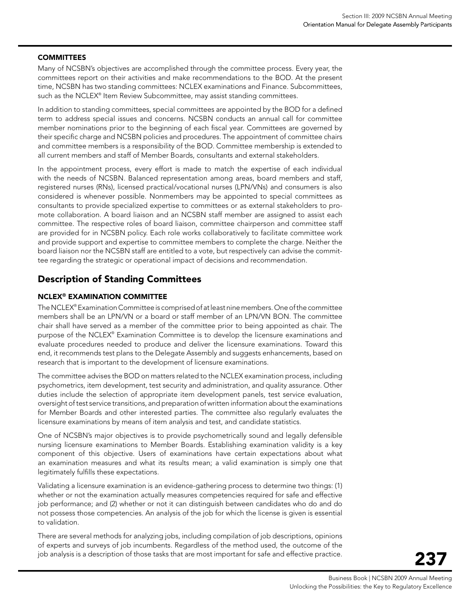#### **COMMITTEES**

Many of NCSBN's objectives are accomplished through the committee process. Every year, the committees report on their activities and make recommendations to the BOD. At the present time, NCSBN has two standing committees: NCLEX examinations and Finance. Subcommittees, such as the NCLEX® Item Review Subcommittee, may assist standing committees.

In addition to standing committees, special committees are appointed by the BOD for a defined term to address special issues and concerns. NCSBN conducts an annual call for committee member nominations prior to the beginning of each fiscal year. Committees are governed by their specific charge and NCSBN policies and procedures. The appointment of committee chairs and committee members is a responsibility of the BOD. Committee membership is extended to all current members and staff of Member Boards, consultants and external stakeholders.

In the appointment process, every effort is made to match the expertise of each individual with the needs of NCSBN. Balanced representation among areas, board members and staff, registered nurses (RNs), licensed practical/vocational nurses (LPN/VNs) and consumers is also considered is whenever possible. Nonmembers may be appointed to special committees as consultants to provide specialized expertise to committees or as external stakeholders to promote collaboration. A board liaison and an NCSBN staff member are assigned to assist each committee. The respective roles of board liaison, committee chairperson and committee staff are provided for in NCSBN policy. Each role works collaboratively to facilitate committee work and provide support and expertise to committee members to complete the charge. Neither the board liaison nor the NCSBN staff are entitled to a vote, but respectively can advise the committee regarding the strategic or operational impact of decisions and recommendation.

## Description of Standing Committees

#### NCLEX® Examination Committee

The NCLEX® Examination Committee is comprised of at least nine members. One of the committee members shall be an LPN/VN or a board or staff member of an LPN/VN BON. The committee chair shall have served as a member of the committee prior to being appointed as chair. The purpose of the NCLEX® Examination Committee is to develop the licensure examinations and evaluate procedures needed to produce and deliver the licensure examinations. Toward this end, it recommends test plans to the Delegate Assembly and suggests enhancements, based on research that is important to the development of licensure examinations.

The committee advises the BOD on matters related to the NCLEX examination process, including psychometrics, item development, test security and administration, and quality assurance. Other duties include the selection of appropriate item development panels, test service evaluation, oversight of test service transitions, and preparation of written information about the examinations for Member Boards and other interested parties. The committee also regularly evaluates the licensure examinations by means of item analysis and test, and candidate statistics.

One of NCSBN's major objectives is to provide psychometrically sound and legally defensible nursing licensure examinations to Member Boards. Establishing examination validity is a key component of this objective. Users of examinations have certain expectations about what an examination measures and what its results mean; a valid examination is simply one that legitimately fulfills these expectations.

Validating a licensure examination is an evidence-gathering process to determine two things: (1) whether or not the examination actually measures competencies required for safe and effective job performance; and (2) whether or not it can distinguish between candidates who do and do not possess those competencies. An analysis of the job for which the license is given is essential to validation.

There are several methods for analyzing jobs, including compilation of job descriptions, opinions of experts and surveys of job incumbents. Regardless of the method used, the outcome of the job analysis is a description of those tasks that are most important for safe and effective practice.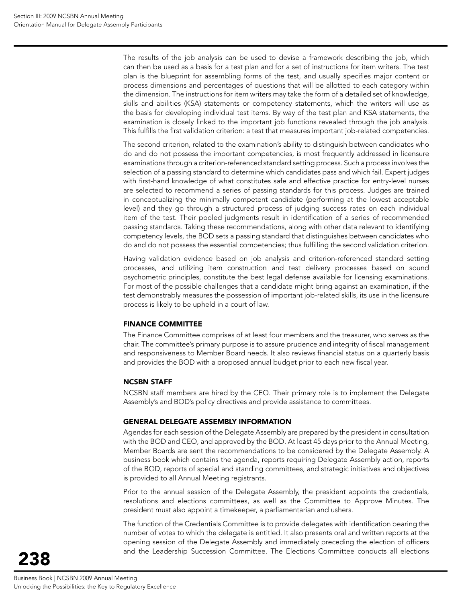The results of the job analysis can be used to devise a framework describing the job, which can then be used as a basis for a test plan and for a set of instructions for item writers. The test plan is the blueprint for assembling forms of the test, and usually specifies major content or process dimensions and percentages of questions that will be allotted to each category within the dimension. The instructions for item writers may take the form of a detailed set of knowledge, skills and abilities (KSA) statements or competency statements, which the writers will use as the basis for developing individual test items. By way of the test plan and KSA statements, the examination is closely linked to the important job functions revealed through the job analysis. This fulfills the first validation criterion: a test that measures important job-related competencies.

The second criterion, related to the examination's ability to distinguish between candidates who do and do not possess the important competencies, is most frequently addressed in licensure examinations through a criterion-referenced standard setting process. Such a process involves the selection of a passing standard to determine which candidates pass and which fail. Expert judges with first-hand knowledge of what constitutes safe and effective practice for entry-level nurses are selected to recommend a series of passing standards for this process. Judges are trained in conceptualizing the minimally competent candidate (performing at the lowest acceptable level) and they go through a structured process of judging success rates on each individual item of the test. Their pooled judgments result in identification of a series of recommended passing standards. Taking these recommendations, along with other data relevant to identifying competency levels, the BOD sets a passing standard that distinguishes between candidates who do and do not possess the essential competencies; thus fulfilling the second validation criterion.

Having validation evidence based on job analysis and criterion-referenced standard setting processes, and utilizing item construction and test delivery processes based on sound psychometric principles, constitute the best legal defense available for licensing examinations. For most of the possible challenges that a candidate might bring against an examination, if the test demonstrably measures the possession of important job-related skills, its use in the licensure process is likely to be upheld in a court of law.

#### FINANCE COMMITTEE

The Finance Committee comprises of at least four members and the treasurer, who serves as the chair. The committee's primary purpose is to assure prudence and integrity of fiscal management and responsiveness to Member Board needs. It also reviews financial status on a quarterly basis and provides the BOD with a proposed annual budget prior to each new fiscal year.

#### NCSBN STAFF

NCSBN staff members are hired by the CEO. Their primary role is to implement the Delegate Assembly's and BOD's policy directives and provide assistance to committees.

#### GENERAL DELEGATE ASSEMBLY INFORMATION

Agendas for each session of the Delegate Assembly are prepared by the president in consultation with the BOD and CEO, and approved by the BOD. At least 45 days prior to the Annual Meeting, Member Boards are sent the recommendations to be considered by the Delegate Assembly. A business book which contains the agenda, reports requiring Delegate Assembly action, reports of the BOD, reports of special and standing committees, and strategic initiatives and objectives is provided to all Annual Meeting registrants.

Prior to the annual session of the Delegate Assembly, the president appoints the credentials, resolutions and elections committees, as well as the Committee to Approve Minutes. The president must also appoint a timekeeper, a parliamentarian and ushers.

The function of the Credentials Committee is to provide delegates with identification bearing the number of votes to which the delegate is entitled. It also presents oral and written reports at the opening session of the Delegate Assembly and immediately preceding the election of officers and the Leadership Succession Committee. The Elections Committee conducts all elections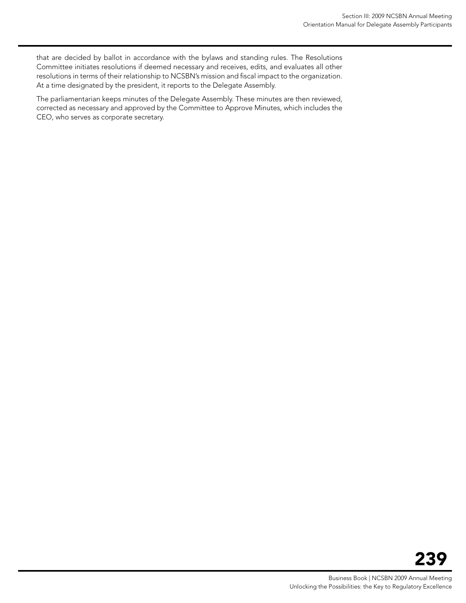that are decided by ballot in accordance with the bylaws and standing rules. The Resolutions Committee initiates resolutions if deemed necessary and receives, edits, and evaluates all other resolutions in terms of their relationship to NCSBN's mission and fiscal impact to the organization. At a time designated by the president, it reports to the Delegate Assembly.

The parliamentarian keeps minutes of the Delegate Assembly. These minutes are then reviewed, corrected as necessary and approved by the Committee to Approve Minutes, which includes the CEO, who serves as corporate secretary.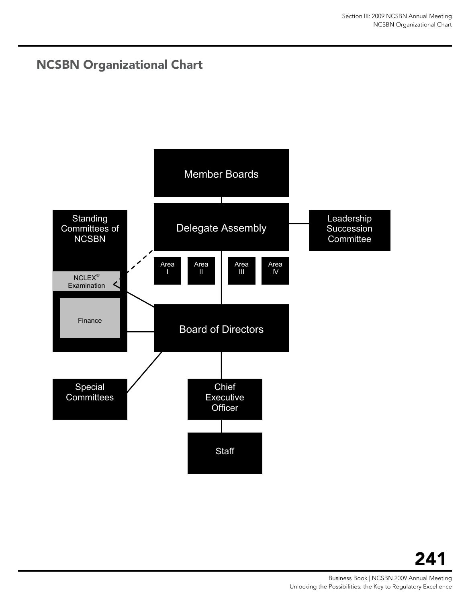# <span id="page-12-0"></span>NCSBN Organizational Chart

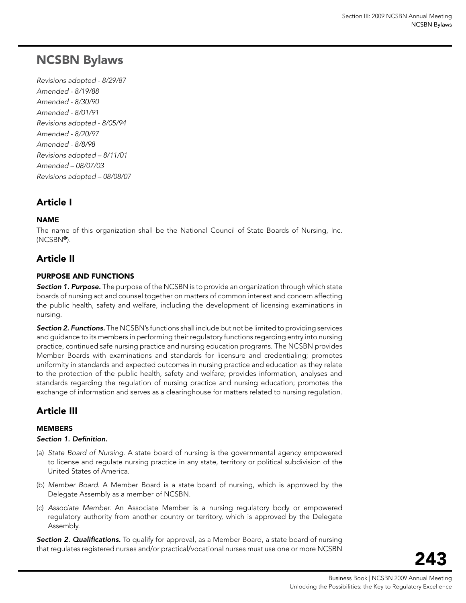# <span id="page-14-0"></span>NCSBN Bylaws

*Revisions adopted - 8/29/87 Amended - 8/19/88 Amended - 8/30/90 Amended - 8/01/91 Revisions adopted - 8/05/94 Amended - 8/20/97 Amended - 8/8/98 Revisions adopted – 8/11/01 Amended – 08/07/03 Revisions adopted – 08/08/07*

# Article I

#### **NAME**

The name of this organization shall be the National Council of State Boards of Nursing, Inc. (NCSBN®).

# Article II

#### Purpose and Functions

*Section 1. Purpose.* The purpose of the NCSBN is to provide an organization through which state boards of nursing act and counsel together on matters of common interest and concern affecting the public health, safety and welfare, including the development of licensing examinations in nursing.

*Section 2. Functions.* The NCSBN's functions shall include but not be limited to providing services and guidance to its members in performing their regulatory functions regarding entry into nursing practice, continued safe nursing practice and nursing education programs. The NCSBN provides Member Boards with examinations and standards for licensure and credentialing; promotes uniformity in standards and expected outcomes in nursing practice and education as they relate to the protection of the public health, safety and welfare; provides information, analyses and standards regarding the regulation of nursing practice and nursing education; promotes the exchange of information and serves as a clearinghouse for matters related to nursing regulation.

# Article III

#### **MEMBERS**

#### *Section 1. Definition.*

- (a) *State Board of Nursing*. A state board of nursing is the governmental agency empowered to license and regulate nursing practice in any state, territory or political subdivision of the United States of America.
- (b) *Member Board*. A Member Board is a state board of nursing, which is approved by the Delegate Assembly as a member of NCSBN.
- (c) *Associate Member.* An Associate Member is a nursing regulatory body or empowered regulatory authority from another country or territory, which is approved by the Delegate Assembly.

*Section 2. Qualifications.* To qualify for approval, as a Member Board, a state board of nursing that regulates registered nurses and/or practical/vocational nurses must use one or more NCSBN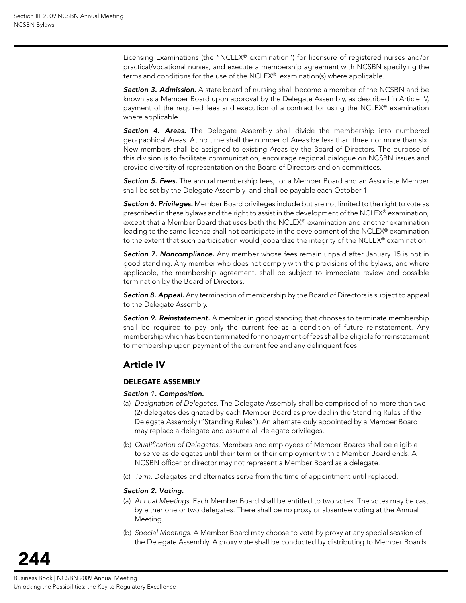Licensing Examinations (the "NCLEX® examination") for licensure of registered nurses and/or practical/vocational nurses, and execute a membership agreement with NCSBN specifying the terms and conditions for the use of the NCLEX® examination(s) where applicable.

*Section 3. Admission.* A state board of nursing shall become a member of the NCSBN and be known as a Member Board upon approval by the Delegate Assembly, as described in Article IV, payment of the required fees and execution of a contract for using the NCLEX® examination where applicable.

*Section 4. Areas.* The Delegate Assembly shall divide the membership into numbered geographical Areas. At no time shall the number of Areas be less than three nor more than six. New members shall be assigned to existing Areas by the Board of Directors. The purpose of this division is to facilitate communication, encourage regional dialogue on NCSBN issues and provide diversity of representation on the Board of Directors and on committees.

*Section 5. Fees.* The annual membership fees, for a Member Board and an Associate Member shall be set by the Delegate Assembly and shall be payable each October 1.

*Section 6. Privileges.* Member Board privileges include but are not limited to the right to vote as prescribed in these bylaws and the right to assist in the development of the NCLEX® examination, except that a Member Board that uses both the NCLEX® examination and another examination leading to the same license shall not participate in the development of the NCLEX® examination to the extent that such participation would jeopardize the integrity of the NCLEX® examination.

*Section 7. Noncompliance.* Any member whose fees remain unpaid after January 15 is not in good standing. Any member who does not comply with the provisions of the bylaws, and where applicable, the membership agreement, shall be subject to immediate review and possible termination by the Board of Directors.

*Section 8. Appeal.* Any termination of membership by the Board of Directors is subject to appeal to the Delegate Assembly.

*Section 9. Reinstatement.* A member in good standing that chooses to terminate membership shall be required to pay only the current fee as a condition of future reinstatement. Any membership which has been terminated for nonpayment of fees shall be eligible for reinstatement to membership upon payment of the current fee and any delinquent fees.

# Article IV

#### Delegate Assembly

#### *Section 1. Composition.*

- (a) *Designation of Delegates.* The Delegate Assembly shall be comprised of no more than two (2) delegates designated by each Member Board as provided in the Standing Rules of the Delegate Assembly ("Standing Rules"). An alternate duly appointed by a Member Board may replace a delegate and assume all delegate privileges.
- (b) *Qualification of Delegates*. Members and employees of Member Boards shall be eligible to serve as delegates until their term or their employment with a Member Board ends. A NCSBN officer or director may not represent a Member Board as a delegate.
- (c) *Term*. Delegates and alternates serve from the time of appointment until replaced.

#### *Section 2. Voting.*

- (a) *Annual Meetings.* Each Member Board shall be entitled to two votes. The votes may be cast by either one or two delegates. There shall be no proxy or absentee voting at the Annual Meeting.
- (b) *Special Meetings.* A Member Board may choose to vote by proxy at any special session of the Delegate Assembly. A proxy vote shall be conducted by distributing to Member Boards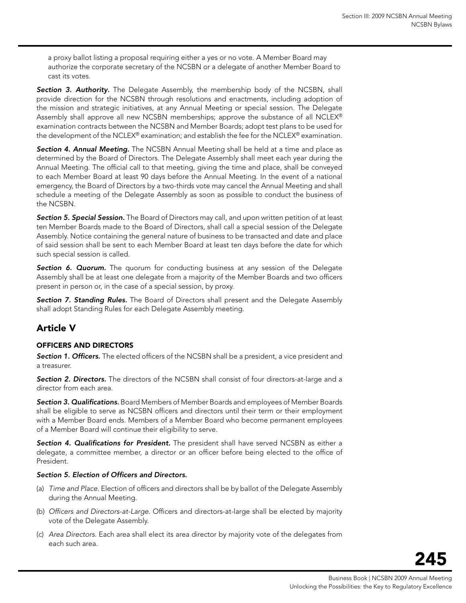a proxy ballot listing a proposal requiring either a yes or no vote. A Member Board may authorize the corporate secretary of the NCSBN or a delegate of another Member Board to cast its votes.

**Section 3. Authority.** The Delegate Assembly, the membership body of the NCSBN, shall provide direction for the NCSBN through resolutions and enactments, including adoption of the mission and strategic initiatives, at any Annual Meeting or special session. The Delegate Assembly shall approve all new NCSBN memberships; approve the substance of all NCLEX® examination contracts between the NCSBN and Member Boards; adopt test plans to be used for the development of the NCLEX® examination; and establish the fee for the NCLEX® examination.

*Section 4. Annual Meeting.* The NCSBN Annual Meeting shall be held at a time and place as determined by the Board of Directors. The Delegate Assembly shall meet each year during the Annual Meeting. The official call to that meeting, giving the time and place, shall be conveyed to each Member Board at least 90 days before the Annual Meeting. In the event of a national emergency, the Board of Directors by a two-thirds vote may cancel the Annual Meeting and shall schedule a meeting of the Delegate Assembly as soon as possible to conduct the business of the NCSBN.

*Section 5. Special Session.* The Board of Directors may call, and upon written petition of at least ten Member Boards made to the Board of Directors, shall call a special session of the Delegate Assembly. Notice containing the general nature of business to be transacted and date and place of said session shall be sent to each Member Board at least ten days before the date for which such special session is called.

**Section 6. Quorum.** The quorum for conducting business at any session of the Delegate Assembly shall be at least one delegate from a majority of the Member Boards and two officers present in person or, in the case of a special session, by proxy.

*Section 7. Standing Rules.* The Board of Directors shall present and the Delegate Assembly shall adopt Standing Rules for each Delegate Assembly meeting.

# Article V

#### Officers and Directors

*Section 1. Officers.* The elected officers of the NCSBN shall be a president, a vice president and a treasurer.

*Section 2. Directors.* The directors of the NCSBN shall consist of four directors-at-large and a director from each area.

*Section 3. Qualifications.* Board Members of Member Boards and employees of Member Boards shall be eligible to serve as NCSBN officers and directors until their term or their employment with a Member Board ends. Members of a Member Board who become permanent employees of a Member Board will continue their eligibility to serve.

*Section 4. Qualifications for President.* The president shall have served NCSBN as either a delegate, a committee member, a director or an officer before being elected to the office of President.

#### *Section 5. Election of Officers and Directors.*

- (a) *Time and Place*. Election of officers and directors shall be by ballot of the Delegate Assembly during the Annual Meeting.
- (b) *Officers and Directors-at-Large.* Officers and directors-at-large shall be elected by majority vote of the Delegate Assembly.
- (c) *Area Directors*. Each area shall elect its area director by majority vote of the delegates from each such area.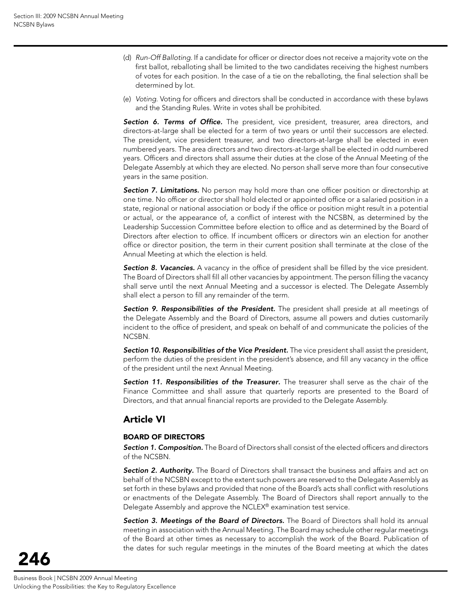- (d) *Run-Off Balloting.* If a candidate for officer or director does not receive a majority vote on the first ballot, reballoting shall be limited to the two candidates receiving the highest numbers of votes for each position. In the case of a tie on the reballoting, the final selection shall be determined by lot.
- (e) *Voting*. Voting for officers and directors shall be conducted in accordance with these bylaws and the Standing Rules. Write in votes shall be prohibited.

**Section 6. Terms of Office.** The president, vice president, treasurer, area directors, and directors-at-large shall be elected for a term of two years or until their successors are elected. The president, vice president treasurer, and two directors-at-large shall be elected in even numbered years. The area directors and two directors-at-large shall be elected in odd numbered years. Officers and directors shall assume their duties at the close of the Annual Meeting of the Delegate Assembly at which they are elected. No person shall serve more than four consecutive years in the same position.

**Section 7. Limitations.** No person may hold more than one officer position or directorship at one time. No officer or director shall hold elected or appointed office or a salaried position in a state, regional or national association or body if the office or position might result in a potential or actual, or the appearance of, a conflict of interest with the NCSBN, as determined by the Leadership Succession Committee before election to office and as determined by the Board of Directors after election to office. If incumbent officers or directors win an election for another office or director position, the term in their current position shall terminate at the close of the Annual Meeting at which the election is held.

**Section 8. Vacancies.** A vacancy in the office of president shall be filled by the vice president. The Board of Directors shall fill all other vacancies by appointment. The person filling the vacancy shall serve until the next Annual Meeting and a successor is elected. The Delegate Assembly shall elect a person to fill any remainder of the term.

*Section 9. Responsibilities of the President.* The president shall preside at all meetings of the Delegate Assembly and the Board of Directors, assume all powers and duties customarily incident to the office of president, and speak on behalf of and communicate the policies of the NCSBN.

Section 10. Responsibilities of the Vice President. The vice president shall assist the president, perform the duties of the president in the president's absence, and fill any vacancy in the office of the president until the next Annual Meeting.

**Section 11. Responsibilities of the Treasurer.** The treasurer shall serve as the chair of the Finance Committee and shall assure that quarterly reports are presented to the Board of Directors, and that annual financial reports are provided to the Delegate Assembly.

# Article VI

#### Board of Directors

*Section 1. Composition.* The Board of Directors shall consist of the elected officers and directors of the NCSBN.

**Section 2. Authority.** The Board of Directors shall transact the business and affairs and act on behalf of the NCSBN except to the extent such powers are reserved to the Delegate Assembly as set forth in these bylaws and provided that none of the Board's acts shall conflict with resolutions or enactments of the Delegate Assembly. The Board of Directors shall report annually to the Delegate Assembly and approve the NCLEX® examination test service.

*Section 3. Meetings of the Board of Directors.* The Board of Directors shall hold its annual meeting in association with the Annual Meeting. The Board may schedule other regular meetings of the Board at other times as necessary to accomplish the work of the Board. Publication of the dates for such regular meetings in the minutes of the Board meeting at which the dates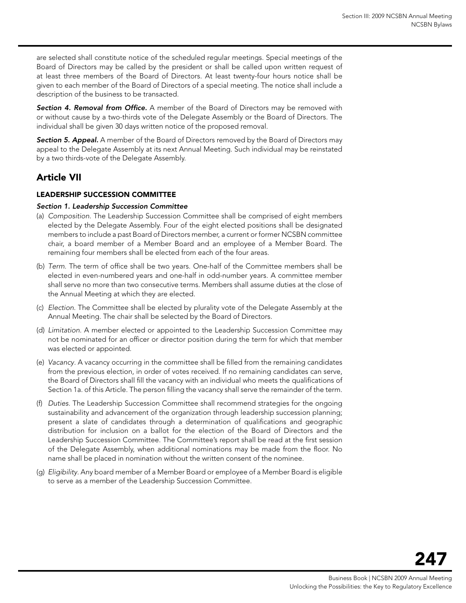are selected shall constitute notice of the scheduled regular meetings. Special meetings of the Board of Directors may be called by the president or shall be called upon written request of at least three members of the Board of Directors. At least twenty-four hours notice shall be given to each member of the Board of Directors of a special meeting. The notice shall include a description of the business to be transacted.

*Section 4. Removal from Office.* A member of the Board of Directors may be removed with or without cause by a two-thirds vote of the Delegate Assembly or the Board of Directors. The individual shall be given 30 days written notice of the proposed removal.

**Section 5. Appeal.** A member of the Board of Directors removed by the Board of Directors may appeal to the Delegate Assembly at its next Annual Meeting. Such individual may be reinstated by a two thirds-vote of the Delegate Assembly.

# Article VII

#### Leadership Succession Committee

#### *Section 1. Leadership Succession Committee*

- (a) *Composition.* The Leadership Succession Committee shall be comprised of eight members elected by the Delegate Assembly. Four of the eight elected positions shall be designated members to include a past Board of Directors member, a current or former NCSBN committee chair, a board member of a Member Board and an employee of a Member Board. The remaining four members shall be elected from each of the four areas.
- (b) *Term.* The term of office shall be two years. One-half of the Committee members shall be elected in even-numbered years and one-half in odd-number years. A committee member shall serve no more than two consecutive terms. Members shall assume duties at the close of the Annual Meeting at which they are elected.
- (c) *Election.* The Committee shall be elected by plurality vote of the Delegate Assembly at the Annual Meeting. The chair shall be selected by the Board of Directors.
- (d) *Limitation.* A member elected or appointed to the Leadership Succession Committee may not be nominated for an officer or director position during the term for which that member was elected or appointed.
- (e) *Vacancy.* A vacancy occurring in the committee shall be filled from the remaining candidates from the previous election, in order of votes received. If no remaining candidates can serve, the Board of Directors shall fill the vacancy with an individual who meets the qualifications of Section 1a. of this Article. The person filling the vacancy shall serve the remainder of the term.
- (f) *Duties.* The Leadership Succession Committee shall recommend strategies for the ongoing sustainability and advancement of the organization through leadership succession planning; present a slate of candidates through a determination of qualifications and geographic distribution for inclusion on a ballot for the election of the Board of Directors and the Leadership Succession Committee. The Committee's report shall be read at the first session of the Delegate Assembly, when additional nominations may be made from the floor. No name shall be placed in nomination without the written consent of the nominee.
- (g) *Eligibility.* Any board member of a Member Board or employee of a Member Board is eligible to serve as a member of the Leadership Succession Committee.

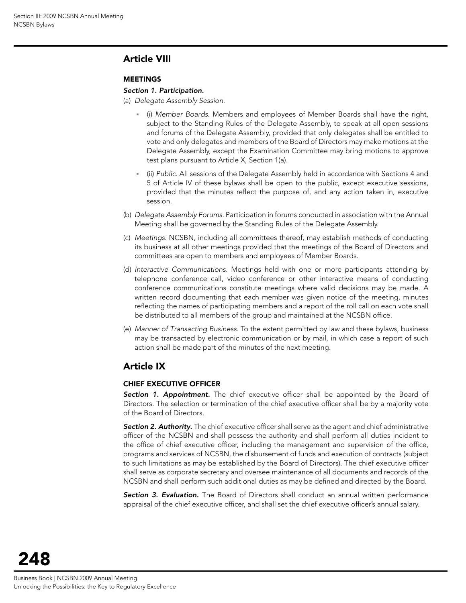# Article VIII

#### **MEETINGS**

#### *Section 1. Participation.*

(a) *Delegate Assembly Session.*

- (i) *Member Boards.* Members and employees of Member Boards shall have the right, subject to the Standing Rules of the Delegate Assembly, to speak at all open sessions and forums of the Delegate Assembly, provided that only delegates shall be entitled to vote and only delegates and members of the Board of Directors may make motions at the Delegate Assembly, except the Examination Committee may bring motions to approve test plans pursuant to Article X, Section 1(a).
- (ii) *Public.* All sessions of the Delegate Assembly held in accordance with Sections 4 and 5 of Article IV of these bylaws shall be open to the public, except executive sessions, provided that the minutes reflect the purpose of, and any action taken in, executive session.
- (b) *Delegate Assembly Forums.* Participation in forums conducted in association with the Annual Meeting shall be governed by the Standing Rules of the Delegate Assembly.
- (c) *Meetings.* NCSBN, including all committees thereof, may establish methods of conducting its business at all other meetings provided that the meetings of the Board of Directors and committees are open to members and employees of Member Boards.
- (d) *Interactive Communications.* Meetings held with one or more participants attending by telephone conference call, video conference or other interactive means of conducting conference communications constitute meetings where valid decisions may be made. A written record documenting that each member was given notice of the meeting, minutes reflecting the names of participating members and a report of the roll call on each vote shall be distributed to all members of the group and maintained at the NCSBN office.
- (e) *Manner of Transacting Business.* To the extent permitted by law and these bylaws, business may be transacted by electronic communication or by mail, in which case a report of such action shall be made part of the minutes of the next meeting.

# Article IX

#### Chief Executive Officer

*Section 1. Appointment.* The chief executive officer shall be appointed by the Board of Directors. The selection or termination of the chief executive officer shall be by a majority vote of the Board of Directors.

*Section 2. Authority.* The chief executive officer shall serve as the agent and chief administrative officer of the NCSBN and shall possess the authority and shall perform all duties incident to the office of chief executive officer, including the management and supervision of the office, programs and services of NCSBN, the disbursement of funds and execution of contracts (subject to such limitations as may be established by the Board of Directors). The chief executive officer shall serve as corporate secretary and oversee maintenance of all documents and records of the NCSBN and shall perform such additional duties as may be defined and directed by the Board.

**Section 3. Evaluation.** The Board of Directors shall conduct an annual written performance appraisal of the chief executive officer, and shall set the chief executive officer's annual salary.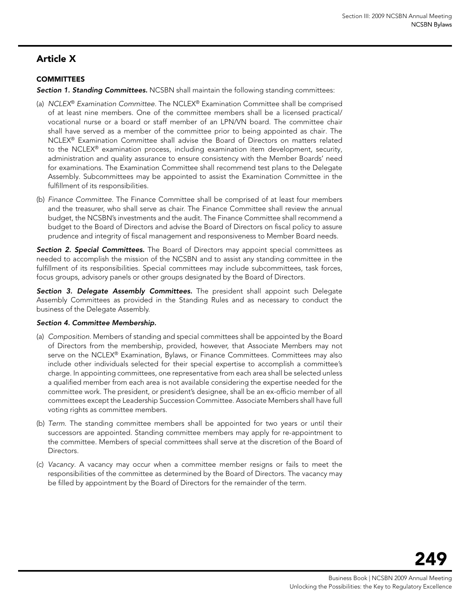# Article X

#### **COMMITTEES**

*Section 1. Standing Committees.* NCSBN shall maintain the following standing committees:

- (a) *NCLEX*® *Examination Committee.* The NCLEX® Examination Committee shall be comprised of at least nine members. One of the committee members shall be a licensed practical/ vocational nurse or a board or staff member of an LPN/VN board. The committee chair shall have served as a member of the committee prior to being appointed as chair. The NCLEX® Examination Committee shall advise the Board of Directors on matters related to the NCLEX® examination process, including examination item development, security, administration and quality assurance to ensure consistency with the Member Boards' need for examinations. The Examination Committee shall recommend test plans to the Delegate Assembly. Subcommittees may be appointed to assist the Examination Committee in the fulfillment of its responsibilities.
- (b) *Finance Committee.* The Finance Committee shall be comprised of at least four members and the treasurer, who shall serve as chair. The Finance Committee shall review the annual budget, the NCSBN's investments and the audit. The Finance Committee shall recommend a budget to the Board of Directors and advise the Board of Directors on fiscal policy to assure prudence and integrity of fiscal management and responsiveness to Member Board needs.

*Section 2. Special Committees.* The Board of Directors may appoint special committees as needed to accomplish the mission of the NCSBN and to assist any standing committee in the fulfillment of its responsibilities. Special committees may include subcommittees, task forces, focus groups, advisory panels or other groups designated by the Board of Directors.

*Section 3. Delegate Assembly Committees.* The president shall appoint such Delegate Assembly Committees as provided in the Standing Rules and as necessary to conduct the business of the Delegate Assembly.

#### *Section 4. Committee Membership.*

- (a) *Composition.* Members of standing and special committees shall be appointed by the Board of Directors from the membership, provided, however, that Associate Members may not serve on the NCLEX® Examination, Bylaws, or Finance Committees. Committees may also include other individuals selected for their special expertise to accomplish a committee's charge. In appointing committees, one representative from each area shall be selected unless a qualified member from each area is not available considering the expertise needed for the committee work. The president, or president's designee, shall be an ex-officio member of all committees except the Leadership Succession Committee. Associate Members shall have full voting rights as committee members.
- (b) *Term.* The standing committee members shall be appointed for two years or until their successors are appointed. Standing committee members may apply for re-appointment to the committee. Members of special committees shall serve at the discretion of the Board of Directors.
- (c) *Vacancy.* A vacancy may occur when a committee member resigns or fails to meet the responsibilities of the committee as determined by the Board of Directors. The vacancy may be filled by appointment by the Board of Directors for the remainder of the term.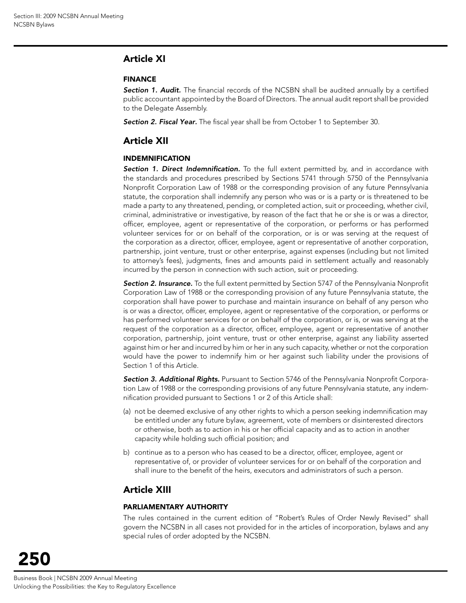# Article XI

#### Finance

**Section 1. Audit.** The financial records of the NCSBN shall be audited annually by a certified public accountant appointed by the Board of Directors. The annual audit report shall be provided to the Delegate Assembly.

*Section 2. Fiscal Year.* The fiscal year shall be from October 1 to September 30.

# Article XII

#### Indemnification

**Section 1. Direct Indemnification.** To the full extent permitted by, and in accordance with the standards and procedures prescribed by Sections 5741 through 5750 of the Pennsylvania Nonprofit Corporation Law of 1988 or the corresponding provision of any future Pennsylvania statute, the corporation shall indemnify any person who was or is a party or is threatened to be made a party to any threatened, pending, or completed action, suit or proceeding, whether civil, criminal, administrative or investigative, by reason of the fact that he or she is or was a director, officer, employee, agent or representative of the corporation, or performs or has performed volunteer services for or on behalf of the corporation, or is or was serving at the request of the corporation as a director, officer, employee, agent or representative of another corporation, partnership, joint venture, trust or other enterprise, against expenses (including but not limited to attorney's fees), judgments, fines and amounts paid in settlement actually and reasonably incurred by the person in connection with such action, suit or proceeding.

*Section 2. Insurance.* To the full extent permitted by Section 5747 of the Pennsylvania Nonprofit Corporation Law of 1988 or the corresponding provision of any future Pennsylvania statute, the corporation shall have power to purchase and maintain insurance on behalf of any person who is or was a director, officer, employee, agent or representative of the corporation, or performs or has performed volunteer services for or on behalf of the corporation, or is, or was serving at the request of the corporation as a director, officer, employee, agent or representative of another corporation, partnership, joint venture, trust or other enterprise, against any liability asserted against him or her and incurred by him or her in any such capacity, whether or not the corporation would have the power to indemnify him or her against such liability under the provisions of Section 1 of this Article.

*Section 3. Additional Rights.* Pursuant to Section 5746 of the Pennsylvania Nonprofit Corporation Law of 1988 or the corresponding provisions of any future Pennsylvania statute, any indemnification provided pursuant to Sections 1 or 2 of this Article shall:

- (a) not be deemed exclusive of any other rights to which a person seeking indemnification may be entitled under any future bylaw, agreement, vote of members or disinterested directors or otherwise, both as to action in his or her official capacity and as to action in another capacity while holding such official position; and
- b) continue as to a person who has ceased to be a director, officer, employee, agent or representative of, or provider of volunteer services for or on behalf of the corporation and shall inure to the benefit of the heirs, executors and administrators of such a person.

# Article XIII

#### Parliamentary Authority

The rules contained in the current edition of "Robert's Rules of Order Newly Revised" shall govern the NCSBN in all cases not provided for in the articles of incorporation, bylaws and any special rules of order adopted by the NCSBN.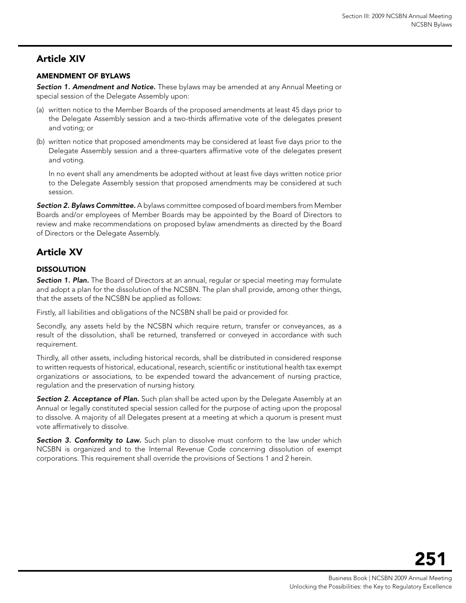# Article XIV

#### Amendment of Bylaws

*Section 1. Amendment and Notice.* These bylaws may be amended at any Annual Meeting or special session of the Delegate Assembly upon:

- (a) written notice to the Member Boards of the proposed amendments at least 45 days prior to the Delegate Assembly session and a two-thirds affirmative vote of the delegates present and voting; or
- (b) written notice that proposed amendments may be considered at least five days prior to the Delegate Assembly session and a three-quarters affirmative vote of the delegates present and voting.

In no event shall any amendments be adopted without at least five days written notice prior to the Delegate Assembly session that proposed amendments may be considered at such session.

*Section 2. Bylaws Committee.* A bylaws committee composed of board members from Member Boards and/or employees of Member Boards may be appointed by the Board of Directors to review and make recommendations on proposed bylaw amendments as directed by the Board of Directors or the Delegate Assembly.

# Article XV

#### **DISSOLUTION**

**Section 1. Plan.** The Board of Directors at an annual, regular or special meeting may formulate and adopt a plan for the dissolution of the NCSBN. The plan shall provide, among other things, that the assets of the NCSBN be applied as follows:

Firstly, all liabilities and obligations of the NCSBN shall be paid or provided for.

Secondly, any assets held by the NCSBN which require return, transfer or conveyances, as a result of the dissolution, shall be returned, transferred or conveyed in accordance with such requirement.

Thirdly, all other assets, including historical records, shall be distributed in considered response to written requests of historical, educational, research, scientific or institutional health tax exempt organizations or associations, to be expended toward the advancement of nursing practice, regulation and the preservation of nursing history.

**Section 2. Acceptance of Plan.** Such plan shall be acted upon by the Delegate Assembly at an Annual or legally constituted special session called for the purpose of acting upon the proposal to dissolve. A majority of all Delegates present at a meeting at which a quorum is present must vote affirmatively to dissolve.

**Section 3. Conformity to Law.** Such plan to dissolve must conform to the law under which NCSBN is organized and to the Internal Revenue Code concerning dissolution of exempt corporations. This requirement shall override the provisions of Sections 1 and 2 herein.

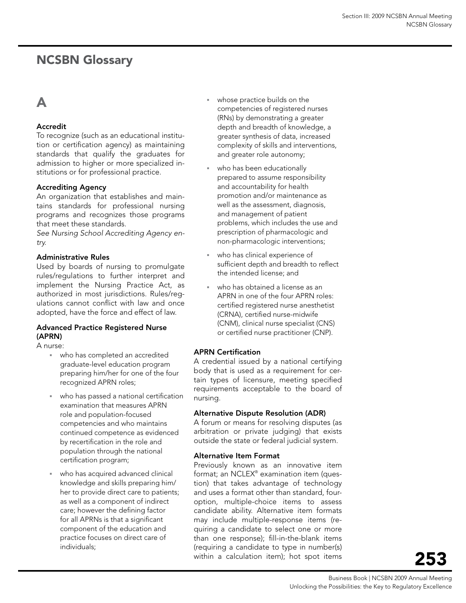# <span id="page-24-0"></span>NCSBN Glossary

# A

#### Accredit

To recognize (such as an educational institution or certification agency) as maintaining standards that qualify the graduates for admission to higher or more specialized institutions or for professional practice.

#### Accrediting Agency

An organization that establishes and maintains standards for professional nursing programs and recognizes those programs that meet these standards.

*See Nursing School Accrediting Agency entry.*

#### Administrative Rules

Used by boards of nursing to promulgate rules/regulations to further interpret and implement the Nursing Practice Act, as authorized in most jurisdictions. Rules/regulations cannot conflict with law and once adopted, have the force and effect of law.

#### Advanced Practice Registered Nurse (APRN)

A nurse:

- who has completed an accredited graduate-level education program preparing him/her for one of the four recognized APRN roles;
- who has passed a national certification examination that measures APRN role and population-focused competencies and who maintains continued competence as evidenced by recertification in the role and population through the national certification program;
- who has acquired advanced clinical knowledge and skills preparing him/ her to provide direct care to patients; as well as a component of indirect care; however the defining factor for all APRNs is that a significant component of the education and practice focuses on direct care of individuals;
- whose practice builds on the competencies of registered nurses (RNs) by demonstrating a greater depth and breadth of knowledge, a greater synthesis of data, increased complexity of skills and interventions, and greater role autonomy;
- who has been educationally prepared to assume responsibility and accountability for health promotion and/or maintenance as well as the assessment, diagnosis, and management of patient problems, which includes the use and prescription of pharmacologic and non-pharmacologic interventions;
- who has clinical experience of sufficient depth and breadth to reflect the intended license; and
- who has obtained a license as an APRN in one of the four APRN roles: certified registered nurse anesthetist (CRNA), certified nurse-midwife (CNM), clinical nurse specialist (CNS) or certified nurse practitioner (CNP).

#### APRN Certification

A credential issued by a national certifying body that is used as a requirement for certain types of licensure, meeting specified requirements acceptable to the board of nursing.

#### Alternative Dispute Resolution (ADR)

A forum or means for resolving disputes (as arbitration or private judging) that exists outside the state or federal judicial system.

#### Alternative Item Format

Previously known as an innovative item format; an NCLEX® examination item (question) that takes advantage of technology and uses a format other than standard, fouroption, multiple-choice items to assess candidate ability. Alternative item formats may include multiple-response items (requiring a candidate to select one or more than one response); fill-in-the-blank items (requiring a candidate to type in number(s) within a calculation item); hot spot items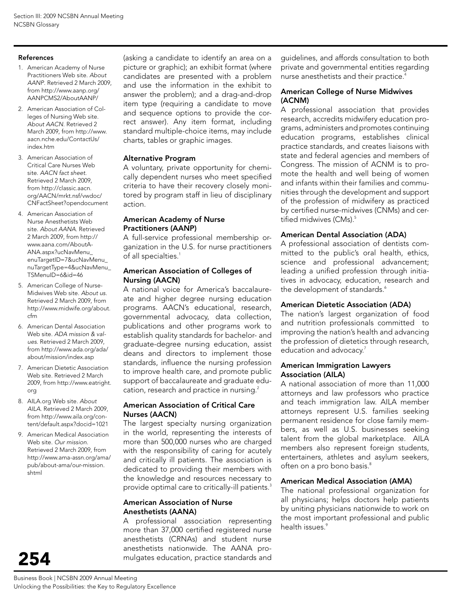#### References

- 1. American Academy of Nurse Practitioners Web site. *About AANP*. Retrieved 2 March 2009, from http://www.aanp.org/ AANPCMS2/AboutAANP/
- 2. American Association of Colleges of Nursing Web site. *About AACN*. Retrieved 2 March 2009, from http://www. aacn.nche.edu/ContactUs/ index.htm
- 3. American Association of Critical Care Nurses Web site. *AACN fact sheet.* Retrieved 2 March 2009, from http://classic.aacn. org/AACN/mrkt.nsf/vwdoc/ CNFactSheet?opendocument
- 4. American Association of Nurse Anesthetists Web site. *About AANA*. Retrieved 2 March 2009, from http:// www.aana.com/AboutA-ANA.aspx?ucNavMenu\_ enuTargetID=7&ucNavMenu\_ nuTargetType=4&ucNavMenu\_ TSMenuID=6&id=46
- 5. American College of Nurse-Midwives Web site. *About us.*  Retrieved 2 March 2009, from http://www.midwife.org/about. cfm
- 6. American Dental Association Web site. *ADA mission & values.* Retrieved 2 March 2009, from http://www.ada.org/ada/ about/mission/index.asp
- 7. American Dietetic Association Web site. Retrieved 2 March 2009, from http://www.eatright. org
- 8. AILA.org Web site. *About AILA*. Retrieved 2 March 2009, from http://www.aila.org/content/default.aspx?docid=1021
- 9. American Medical Association Web site. *Our mission.* Retrieved 2 March 2009, from http://www.ama-assn.org/ama/ pub/about-ama/our-mission. shtml

254

(asking a candidate to identify an area on a picture or graphic); an exhibit format (where candidates are presented with a problem and use the information in the exhibit to answer the problem); and a drag-and-drop item type (requiring a candidate to move and sequence options to provide the correct answer). Any item format, including standard multiple-choice items, may include charts, tables or graphic images.

#### Alternative Program

A voluntary, private opportunity for chemically dependent nurses who meet specified criteria to have their recovery closely monitored by program staff in lieu of disciplinary action.

#### American Academy of Nurse Practitioners (AANP)

A full-service professional membership organization in the U.S. for nurse practitioners of all specialties.<sup>1</sup>

#### American Association of Colleges of Nursing (AACN)

A national voice for America's baccalaureate and higher degree nursing education programs. AACN's educational, research, governmental advocacy, data collection, publications and other programs work to establish quality standards for bachelor- and graduate-degree nursing education, assist deans and directors to implement those standards, influence the nursing profession to improve health care, and promote public support of baccalaureate and graduate education, research and practice in nursing.<sup>2</sup>

#### American Association of Critical Care Nurses (AACN)

The largest specialty nursing organization in the world, representing the interests of more than 500,000 nurses who are charged with the responsibility of caring for acutely and critically ill patients. The association is dedicated to providing their members with the knowledge and resources necessary to provide optimal care to critically-ill patients.<sup>3</sup>

#### American Association of Nurse Anesthetists (AANA)

A professional association representing more than 37,000 certified registered nurse anesthetists (CRNAs) and student nurse anesthetists nationwide. The AANA promulgates education, practice standards and

guidelines, and affords consultation to both private and governmental entities regarding nurse anesthetists and their practice.4

#### American College of Nurse Midwives (ACNM)

A professional association that provides research, accredits midwifery education programs, administers and promotes continuing education programs, establishes clinical practice standards, and creates liaisons with state and federal agencies and members of Congress. The mission of ACNM is to promote the health and well being of women and infants within their families and communities through the development and support of the profession of midwifery as practiced by certified nurse-midwives (CNMs) and certified midwives (CMs).<sup>5</sup>

#### American Dental Association (ADA)

A professional association of dentists committed to the public's oral health, ethics, science and professional advancement; leading a unified profession through initiatives in advocacy, education, research and the development of standards.<sup>6</sup>

#### American Dietetic Association (ADA)

The nation's largest organization of food and nutrition professionals committed to improving the nation's health and advancing the profession of dietetics through research, education and advocacy.<sup>7</sup>

#### American Immigration Lawyers Association (AILA)

A national association of more than 11,000 attorneys and law professors who practice and teach immigration law. AILA member attorneys represent U.S. families seeking permanent residence for close family members, as well as U.S. businesses seeking talent from the global marketplace. AILA members also represent foreign students, entertainers, athletes and asylum seekers, often on a pro bono basis.<sup>8</sup>

#### American Medical Association (AMA)

The national professional organization for all physicians; helps doctors help patients by uniting physicians nationwide to work on the most important professional and public health issues.<sup>9</sup>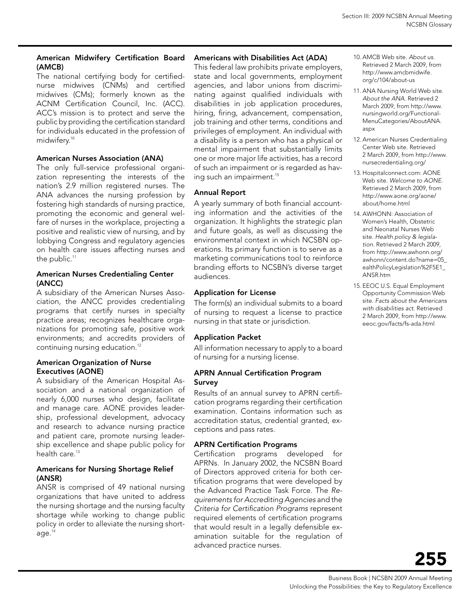#### American Midwifery Certification Board (AMCB)

The national certifying body for certifiednurse midwives (CNMs) and certified midwives (CMs); formerly known as the ACNM Certification Council, Inc. (ACC). ACC's mission is to protect and serve the public by providing the certification standard for individuals educated in the profession of midwifery.<sup>10</sup>

#### American Nurses Association (ANA)

The only full-service professional organization representing the interests of the nation's 2.9 million registered nurses. The ANA advances the nursing profession by fostering high standards of nursing practice, promoting the economic and general welfare of nurses in the workplace, projecting a positive and realistic view of nursing, and by lobbying Congress and regulatory agencies on health care issues affecting nurses and the public.<sup>11</sup>

#### American Nurses Credentialing Center (ANCC)

A subsidiary of the American Nurses Association, the ANCC provides credentialing programs that certify nurses in specialty practice areas; recognizes healthcare organizations for promoting safe, positive work environments; and accredits providers of continuing nursing education.<sup>12</sup>

#### American Organization of Nurse Executives (AONE)

A subsidiary of the American Hospital Association and a national organization of nearly 6,000 nurses who design, facilitate and manage care. AONE provides leadership, professional development, advocacy and research to advance nursing practice and patient care, promote nursing leadership excellence and shape public policy for health care. $13$ 

#### Americans for Nursing Shortage Relief (ANSR)

ANSR is comprised of 49 national nursing organizations that have united to address the nursing shortage and the nursing faculty shortage while working to change public policy in order to alleviate the nursing shortage.14

#### Americans with Disabilities Act (ADA)

This federal law prohibits private employers, state and local governments, employment agencies, and labor unions from discriminating against qualified individuals with disabilities in job application procedures, hiring, firing, advancement, compensation, job training and other terms, conditions and privileges of employment. An individual with a disability is a person who has a physical or mental impairment that substantially limits one or more major life activities, has a record of such an impairment or is regarded as having such an impairment.<sup>15</sup>

#### Annual Report

A yearly summary of both financial accounting information and the activities of the organization. It highlights the strategic plan and future goals, as well as discussing the environmental context in which NCSBN operations. Its primary function is to serve as a marketing communications tool to reinforce branding efforts to NCSBN's diverse target audiences.

#### Application for License

The form(s) an individual submits to a board of nursing to request a license to practice nursing in that state or jurisdiction.

#### Application Packet

All information necessary to apply to a board of nursing for a nursing license.

#### APRN Annual Certification Program **Survey**

Results of an annual survey to APRN certification programs regarding their certification examination. Contains information such as accreditation status, credential granted, exceptions and pass rates.

#### APRN Certification Programs

Certification programs developed for APRNs. In January 2002, the NCSBN Board of Directors approved criteria for both certification programs that were developed by the Advanced Practice Task Force. The *Requirements for Accrediting Agencies* and the *Criteria for Certification Programs* represent required elements of certification programs that would result in a legally defensible examination suitable for the regulation of advanced practice nurses.

- 10. AMCB Web site. *About us*. Retrieved 2 March 2009, from http://www.amcbmidwife. org/c/104/about-us
- 11. ANA Nursing World Web site. *About the ANA*. Retrieved 2 March 2009, from http://www. nursingworld.org/Functional-MenuCategories/AboutANA. aspx
- 12. American Nurses Credentialing Center Web site. Retrieved 2 March 2009, from http://www. nursecredentialing.org/
- 13. Hospitalconnect.com: AONE Web site. *Welcome to AONE*. Retrieved 2 March 2009, from http://www.aone.org/aone/ about/home.html
- 14. AWHONN: Association of Women's Health, Obstetric and Neonatal Nurses Web site. *Health policy & legislation.* Retrieved 2 March 2009, from http://www.awhonn.org/ awhonn/content.do?name=05\_ ealthPolicyLegislation%2F5E1\_ ANSR.htm
- 15. EEOC U.S. Equal Employment Opportunity Commission Web site. *Facts about the Americans with disabilities act*. Retrieved 2 March 2009, from http://www. eeoc.gov/facts/fs-ada.html

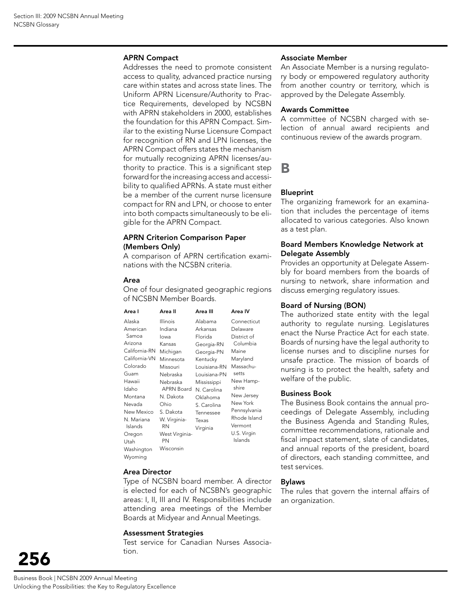#### APRN Compact

Addresses the need to promote consistent access to quality, advanced practice nursing care within states and across state lines. The Uniform APRN Licensure/Authority to Practice Requirements, developed by NCSBN with APRN stakeholders in 2000, establishes the foundation for this APRN Compact. Similar to the existing Nurse Licensure Compact for recognition of RN and LPN licenses, the APRN Compact offers states the mechanism for mutually recognizing APRN licenses/authority to practice. This is a significant step forward for the increasing access and accessibility to qualified APRNs. A state must either be a member of the current nurse licensure compact for RN and LPN, or choose to enter into both compacts simultaneously to be eligible for the APRN Compact.

#### APRN Criterion Comparison Paper (Members Only)

A comparison of APRN certification examinations with the NCSBN criteria.

#### Area

One of four designated geographic regions of NCSBN Member Boards.

| Area I                                                                                                                                                                                | Area II                                                                                                                                                                                              | Area III                                                                                                                                                                   | Area IV                                                                                                                                                                                 |
|---------------------------------------------------------------------------------------------------------------------------------------------------------------------------------------|------------------------------------------------------------------------------------------------------------------------------------------------------------------------------------------------------|----------------------------------------------------------------------------------------------------------------------------------------------------------------------------|-----------------------------------------------------------------------------------------------------------------------------------------------------------------------------------------|
| Alaska<br>American                                                                                                                                                                    | Illinois<br>Indiana                                                                                                                                                                                  | Alabama<br>Arkansas                                                                                                                                                        | Connecticut<br>Delaware                                                                                                                                                                 |
| Samoa<br>Arizona<br>California-RN<br>California-VN<br>Colorado<br>Guam<br>Hawaii<br>Idaho<br>Montana<br>Nevada<br>New Mexico<br>N. Mariana<br>Islands<br>Oregon<br>Utah<br>Washington | lowa<br>Kansas<br>Michigan<br>Minnesota<br>Missouri<br>Nebraska<br>Nebraska<br><b>APRN Board</b><br>N. Dakota<br>Ohio<br>S. Dakota<br>W. Virginia-<br><b>RN</b><br>West Virginia-<br>PN<br>Wisconsin | Florida<br>Georgia-RN<br>Georgia-PN<br>Kentucky<br>Louisiana-RN<br>Louisiana-PN<br>Mississippi<br>N. Carolina<br>Oklahoma<br>S. Carolina<br>Tennessee<br>Texas<br>Virginia | District of<br>Columbia<br>Maine<br>Maryland<br>Massachu-<br>setts<br>New Hamp-<br>shire<br>New Jersey<br>New York<br>Pennsylvania<br>Rhode Island<br>Vermont<br>U.S. Virgin<br>Islands |
| Wyoming                                                                                                                                                                               |                                                                                                                                                                                                      |                                                                                                                                                                            |                                                                                                                                                                                         |

#### Area Director

Type of NCSBN board member. A director is elected for each of NCSBN's geographic areas: I, II, III and IV. Responsibilities include attending area meetings of the Member Boards at Midyear and Annual Meetings.

#### Assessment Strategies

Test service for Canadian Nurses Association.

#### Associate Member

An Associate Member is a nursing regulatory body or empowered regulatory authority from another country or territory, which is approved by the Delegate Assembly.

#### Awards Committee

A committee of NCSBN charged with selection of annual award recipients and continuous review of the awards program.

B

#### Blueprint

The organizing framework for an examination that includes the percentage of items allocated to various categories. Also known as a test plan.

#### Board Members Knowledge Network at Delegate Assembly

Provides an opportunity at Delegate Assembly for board members from the boards of nursing to network, share information and discuss emerging regulatory issues.

#### Board of Nursing (BON)

The authorized state entity with the legal authority to regulate nursing. Legislatures enact the Nurse Practice Act for each state. Boards of nursing have the legal authority to license nurses and to discipline nurses for unsafe practice. The mission of boards of nursing is to protect the health, safety and welfare of the public.

#### Business Book

The Business Book contains the annual proceedings of Delegate Assembly, including the Business Agenda and Standing Rules, committee recommendations, rationale and fiscal impact statement, slate of candidates, and annual reports of the president, board of directors, each standing committee, and test services.

#### Bylaws

The rules that govern the internal affairs of an organization.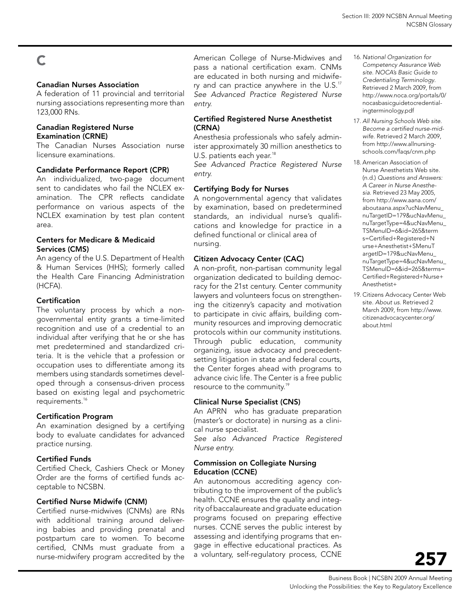# C

#### Canadian Nurses Association

A federation of 11 provincial and territorial nursing associations representing more than 123,000 RNs.

#### Canadian Registered Nurse Examination (CRNE)

The Canadian Nurses Association nurse licensure examinations.

#### Candidate Performance Report (CPR)

An individualized, two-page document sent to candidates who fail the NCLEX examination. The CPR reflects candidate performance on various aspects of the NCLEX examination by test plan content area.

#### Centers for Medicare & Medicaid Services (CMS)

An agency of the U.S. Department of Health & Human Services (HHS); formerly called the Health Care Financing Administration (HCFA).

#### **Certification**

The voluntary process by which a nongovernmental entity grants a time-limited recognition and use of a credential to an individual after verifying that he or she has met predetermined and standardized criteria. It is the vehicle that a profession or occupation uses to differentiate among its members using standards sometimes developed through a consensus-driven process based on existing legal and psychometric requirements.<sup>16</sup>

#### Certification Program

An examination designed by a certifying body to evaluate candidates for advanced practice nursing.

#### Certified Funds

Certified Check, Cashiers Check or Money Order are the forms of certified funds acceptable to NCSBN.

#### Certified Nurse Midwife (CNM)

Certified nurse-midwives (CNMs) are RNs with additional training around delivering babies and providing prenatal and postpartum care to women. To become certified, CNMs must graduate from a nurse-midwifery program accredited by the American College of Nurse-Midwives and pass a national certification exam. CNMs are educated in both nursing and midwifery and can practice anywhere in the  $U.S.^{17}$ *See Advanced Practice Registered Nurse entry.* 

#### Certified Registered Nurse Anesthetist (CRNA)

Anesthesia professionals who safely administer approximately 30 million anesthetics to U.S. patients each year.<sup>18</sup>

*See Advanced Practice Registered Nurse entry.*

#### Certifying Body for Nurses

A nongovernmental agency that validates by examination, based on predetermined standards, an individual nurse's qualifications and knowledge for practice in a defined functional or clinical area of nursing.

#### Citizen Advocacy Center (CAC)

A non-profit, non-partisan community legal organization dedicated to building democracy for the 21st century. Center community lawyers and volunteers focus on strengthening the citizenry's capacity and motivation to participate in civic affairs, building community resources and improving democratic protocols within our community institutions. Through public education, community organizing, issue advocacy and precedentsetting litigation in state and federal courts, the Center forges ahead with programs to advance civic life. The Center is a free public resource to the community.19

#### Clinical Nurse Specialist (CNS)

An APRN who has graduate preparation (master's or doctorate) in nursing as a clinical nurse specialist.

*See also Advanced Practice Registered Nurse entry.* 

#### Commission on Collegiate Nursing Education (CCNE)

An autonomous accrediting agency contributing to the improvement of the public's health. CCNE ensures the quality and integrity of baccalaureate and graduate education programs focused on preparing effective nurses. CCNE serves the public interest by assessing and identifying programs that engage in effective educational practices. As a voluntary, self-regulatory process, CCNE

- 16. *National Organization for Competency Assurance Web site*. *NOCA's Basic Guide to Credentialing Terminology*. Retrieved 2 March 2009, from http://www.noca.org/portals/0/ nocasbasicguidetocredentialingterminology.pdf
- 17. *All Nursing Schools Web site*. *Become a certified nurse-midwife*. Retrieved 2 March 2009, from http://www.allnursingschools.com/faqs/cnm.php
- 18. American Association of Nurse Anesthetists Web site. (n.d.) *Questions and Answers: A Career in Nurse Anesthesia*. Retrieved 23 May 2005, from http://www.aana.com/ aboutaana.aspx?ucNavMenu\_ nuTargetID=179&ucNavMenu\_ nuTargetType=4&ucNavMenu\_ TSMenuID=6&id=265&term s=Certified+Registered+N urse+Anesthetist+SMenuT argetID=179&ucNavMenu\_ nuTargetType=4&ucNavMenu\_ TSMenuID=6&id=265&terms= Certified+Registered+Nurse+ Anesthetist+
- 19. Citizens Advocacy Center Web site. *About us*. Retrieved 2 March 2009, from http://www. citizenadvocacycenter.org/ about.html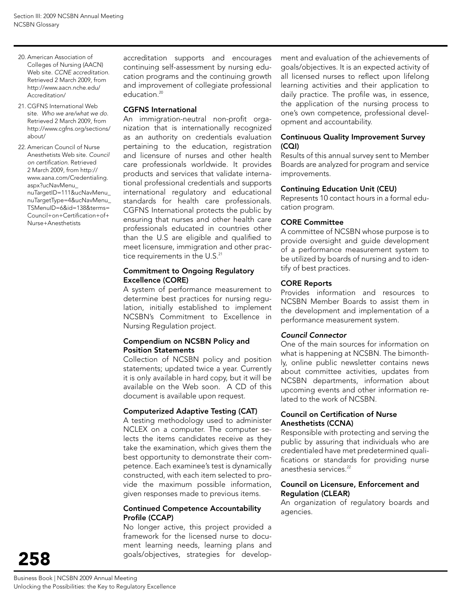- 20. American Association of Colleges of Nursing (AACN) Web site. *CCNE accreditation*. Retrieved 2 March 2009, from http://www.aacn.nche.edu/ Accreditation/
- 21. CGFNS International Web site. *Who we are/what we do*. Retrieved 2 March 2009, from http://www.cgfns.org/sections/ about/

22. American Council of Nurse Anesthetists Web site. *Council on certification*. Retrieved 2 March 2009, from http:// www.aana.com/Credentialing. aspx?ucNavMenu\_ nuTargetID=111&ucNavMenu\_ nuTargetType=4&ucNavMenu\_ TSMenuID=6&id=138&terms= Council+on+Certification+of+ Nurse+Anesthetists

accreditation supports and encourages continuing self-assessment by nursing education programs and the continuing growth and improvement of collegiate professional education.<sup>20</sup>

#### CGFNS International

An immigration-neutral non-profit organization that is internationally recognized as an authority on credentials evaluation pertaining to the education, registration and licensure of nurses and other health care professionals worldwide. It provides products and services that validate international professional credentials and supports international regulatory and educational standards for health care professionals. CGFNS International protects the public by ensuring that nurses and other health care professionals educated in countries other than the U.S are eligible and qualified to meet licensure, immigration and other practice requirements in the U.S.<sup>21</sup>

#### Commitment to Ongoing Regulatory Excellence (CORE)

A system of performance measurement to determine best practices for nursing regulation, initially established to implement NCSBN's Commitment to Excellence in Nursing Regulation project.

#### Compendium on NCSBN Policy and Position Statements

Collection of NCSBN policy and position statements; updated twice a year. Currently it is only available in hard copy, but it will be available on the Web soon. A CD of this document is available upon request.

#### Computerized Adaptive Testing (CAT)

A testing methodology used to administer NCLEX on a computer. The computer selects the items candidates receive as they take the examination, which gives them the best opportunity to demonstrate their competence. Each examinee's test is dynamically constructed, with each item selected to provide the maximum possible information, given responses made to previous items.

#### Continued Competence Accountability Profile (CCAP)

No longer active, this project provided a framework for the licensed nurse to document learning needs, learning plans and goals/objectives, strategies for develop-

ment and evaluation of the achievements of goals/objectives. It is an expected activity of all licensed nurses to reflect upon lifelong learning activities and their application to daily practice. The profile was, in essence, the application of the nursing process to one's own competence, professional development and accountability.

#### Continuous Quality Improvement Survey (CQI)

Results of this annual survey sent to Member Boards are analyzed for program and service improvements.

#### Continuing Education Unit (CEU)

Represents 10 contact hours in a formal education program.

#### CORE Committee

A committee of NCSBN whose purpose is to provide oversight and guide development of a performance measurement system to be utilized by boards of nursing and to identify of best practices.

#### CORE Reports

Provides information and resources to NCSBN Member Boards to assist them in the development and implementation of a performance measurement system.

#### *Council Connector*

One of the main sources for information on what is happening at NCSBN. The bimonthly, online public newsletter contains news about committee activities, updates from NCSBN departments, information about upcoming events and other information related to the work of NCSBN.

#### Council on Certification of Nurse Anesthetists (CCNA)

Responsible with protecting and serving the public by assuring that individuals who are credentialed have met predetermined qualifications or standards for providing nurse anesthesia services.<sup>22</sup>

#### Council on Licensure, Enforcement and Regulation (CLEAR)

An organization of regulatory boards and agencies.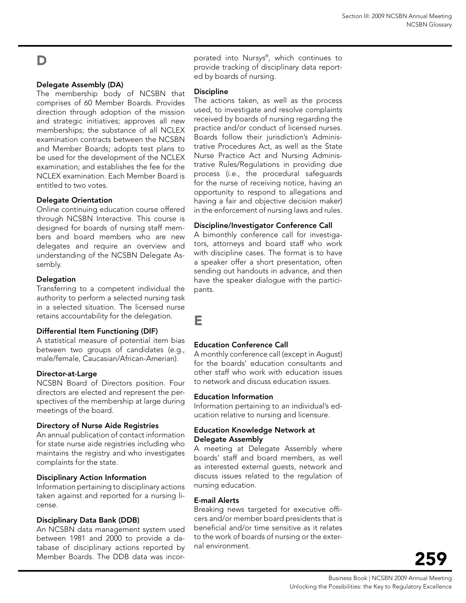# D

#### Delegate Assembly (DA)

The membership body of NCSBN that comprises of 60 Member Boards. Provides direction through adoption of the mission and strategic initiatives; approves all new memberships; the substance of all NCLEX examination contracts between the NCSBN and Member Boards; adopts test plans to be used for the development of the NCLEX examination; and establishes the fee for the NCLEX examination. Each Member Board is entitled to two votes.

#### Delegate Orientation

Online continuing education course offered through NCSBN Interactive. This course is designed for boards of nursing staff members and board members who are new delegates and require an overview and understanding of the NCSBN Delegate Assembly.

#### Delegation

Transferring to a competent individual the authority to perform a selected nursing task in a selected situation. The licensed nurse retains accountability for the delegation.

#### Differential Item Functioning (DIF)

A statistical measure of potential item bias between two groups of candidates (e.g., male/female, Caucasian/African-Amerian).

#### Director-at-Large

NCSBN Board of Directors position. Four directors are elected and represent the perspectives of the membership at large during meetings of the board.

#### Directory of Nurse Aide Registries

An annual publication of contact information for state nurse aide registries including who maintains the registry and who investigates complaints for the state.

#### Disciplinary Action Information

Information pertaining to disciplinary actions taken against and reported for a nursing license.

#### Disciplinary Data Bank (DDB)

An NCSBN data management system used between 1981 and 2000 to provide a database of disciplinary actions reported by Member Boards. The DDB data was incor-

porated into Nur*sys*® , which continues to provide tracking of disciplinary data reported by boards of nursing.

#### Discipline

The actions taken, as well as the process used, to investigate and resolve complaints received by boards of nursing regarding the practice and/or conduct of licensed nurses. Boards follow their jurisdiction's Administrative Procedures Act, as well as the State Nurse Practice Act and Nursing Administrative Rules/Regulations in providing due process (i.e., the procedural safeguards for the nurse of receiving notice, having an opportunity to respond to allegations and having a fair and objective decision maker) in the enforcement of nursing laws and rules.

#### Discipline/Investigator Conference Call

A bimonthly conference call for investigators, attorneys and board staff who work with discipline cases. The format is to have a speaker offer a short presentation, often sending out handouts in advance, and then have the speaker dialogue with the participants.

E

#### Education Conference Call

A monthly conference call (except in August) for the boards' education consultants and other staff who work with education issues to network and discuss education issues.

#### Education Information

Information pertaining to an individual's education relative to nursing and licensure.

#### Education Knowledge Network at Delegate Assembly

A meeting at Delegate Assembly where boards' staff and board members, as well as interested external guests, network and discuss issues related to the regulation of nursing education.

#### E-mail Alerts

Breaking news targeted for executive officers and/or member board presidents that is beneficial and/or time sensitive as it relates to the work of boards of nursing or the external environment.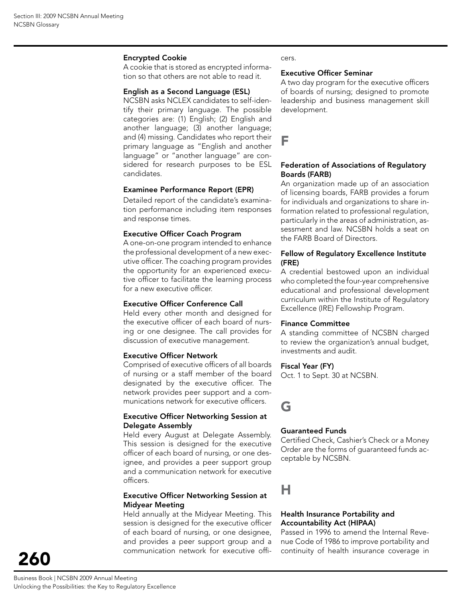#### Encrypted Cookie

A cookie that is stored as encrypted information so that others are not able to read it.

#### English as a Second Language (ESL)

NCSBN asks NCLEX candidates to self-identify their primary language. The possible categories are: (1) English; (2) English and another language; (3) another language; and (4) missing. Candidates who report their primary language as "English and another language" or "another language" are considered for research purposes to be ESL candidates.

#### Examinee Performance Report (EPR)

Detailed report of the candidate's examination performance including item responses and response times.

#### Executive Officer Coach Program

A one-on-one program intended to enhance the professional development of a new executive officer. The coaching program provides the opportunity for an experienced executive officer to facilitate the learning process for a new executive officer.

#### Executive Officer Conference Call

Held every other month and designed for the executive officer of each board of nursing or one designee. The call provides for discussion of executive management.

#### Executive Officer Network

Comprised of executive officers of all boards of nursing or a staff member of the board designated by the executive officer. The network provides peer support and a communications network for executive officers.

#### Executive Officer Networking Session at Delegate Assembly

Held every August at Delegate Assembly. This session is designed for the executive officer of each board of nursing, or one designee, and provides a peer support group and a communication network for executive officers.

#### Executive Officer Networking Session at Midyear Meeting

Held annually at the Midyear Meeting. This session is designed for the executive officer of each board of nursing, or one designee, and provides a peer support group and a communication network for executive offi-

#### cers.

#### Executive Officer Seminar

A two day program for the executive officers of boards of nursing; designed to promote leadership and business management skill development.

#### F

#### Federation of Associations of Regulatory Boards (FARB)

An organization made up of an association of licensing boards, FARB provides a forum for individuals and organizations to share information related to professional regulation, particularly in the areas of administration, assessment and law. NCSBN holds a seat on the FARB Board of Directors.

#### Fellow of Regulatory Excellence Institute (FRE)

A credential bestowed upon an individual who completed the four-year comprehensive educational and professional development curriculum within the Institute of Regulatory Excellence (IRE) Fellowship Program.

#### Finance Committee

A standing committee of NCSBN charged to review the organization's annual budget, investments and audit.

#### Fiscal Year (FY)

Oct. 1 to Sept. 30 at NCSBN.

# G

#### Guaranteed Funds

Certified Check, Cashier's Check or a Money Order are the forms of guaranteed funds acceptable by NCSBN.

# H

#### Health Insurance Portability and Accountability Act (HIPAA)

Passed in 1996 to amend the Internal Revenue Code of 1986 to improve portability and continuity of health insurance coverage in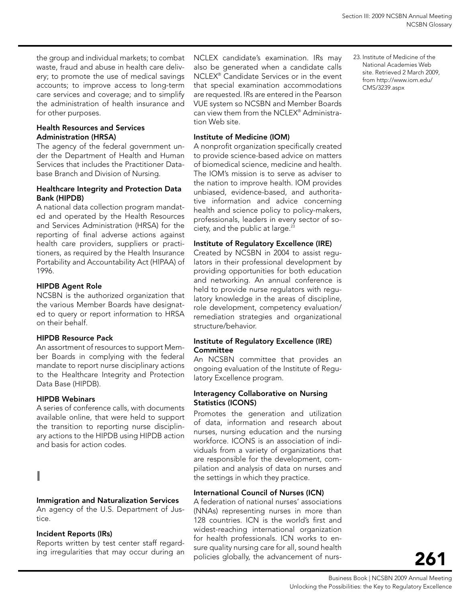the group and individual markets; to combat waste, fraud and abuse in health care delivery; to promote the use of medical savings accounts; to improve access to long-term care services and coverage; and to simplify the administration of health insurance and for other purposes.

#### Health Resources and Services Administration (HRSA)

The agency of the federal government under the Department of Health and Human Services that includes the Practitioner Database Branch and Division of Nursing.

#### Healthcare Integrity and Protection Data Bank (HIPDB)

A national data collection program mandated and operated by the Health Resources and Services Administration (HRSA) for the reporting of final adverse actions against health care providers, suppliers or practitioners, as required by the Health Insurance Portability and Accountability Act (HIPAA) of 1996.

#### HIPDB Agent Role

NCSBN is the authorized organization that the various Member Boards have designated to query or report information to HRSA on their behalf.

#### HIPDB Resource Pack

An assortment of resources to support Member Boards in complying with the federal mandate to report nurse disciplinary actions to the Healthcare Integrity and Protection Data Base (HIPDB).

#### HIPDB Webinars

A series of conference calls, with documents available online, that were held to support the transition to reporting nurse disciplinary actions to the HIPDB using HIPDB action and basis for action codes.

# I

#### Immigration and Naturalization Services

An agency of the U.S. Department of Justice.

#### Incident Reports (IRs)

Reports written by test center staff regarding irregularities that may occur during an

NCLEX candidate's examination. IRs may also be generated when a candidate calls NCLEX® Candidate Services or in the event that special examination accommodations are requested. IRs are entered in the Pearson VUE system so NCSBN and Member Boards can view them from the NCLEX® Administration Web site.

#### Institute of Medicine (IOM)

A nonprofit organization specifically created to provide science-based advice on matters of biomedical science, medicine and health. The IOM's mission is to serve as adviser to the nation to improve health. IOM provides unbiased, evidence-based, and authoritative information and advice concerning health and science policy to policy-makers, professionals, leaders in every sector of society, and the public at large.<sup>23</sup>

#### Institute of Regulatory Excellence (IRE)

Created by NCSBN in 2004 to assist regulators in their professional development by providing opportunities for both education and networking. An annual conference is held to provide nurse regulators with regulatory knowledge in the areas of discipline, role development, competency evaluation/ remediation strategies and organizational structure/behavior.

#### Institute of Regulatory Excellence (IRE) **Committee**

An NCSBN committee that provides an ongoing evaluation of the Institute of Regulatory Excellence program.

#### Interagency Collaborative on Nursing Statistics (ICONS)

Promotes the generation and utilization of data, information and research about nurses, nursing education and the nursing workforce. ICONS is an association of individuals from a variety of organizations that are responsible for the development, compilation and analysis of data on nurses and the settings in which they practice.

#### International Council of Nurses (ICN)

A federation of national nurses' associations (NNAs) representing nurses in more than 128 countries. ICN is the world's first and widest-reaching international organization for health professionals. ICN works to ensure quality nursing care for all, sound health policies globally, the advancement of nurs23. Institute of Medicine of the National Academies Web site. Retrieved 2 March 2009, from http://www.iom.edu/ CMS/3239.aspx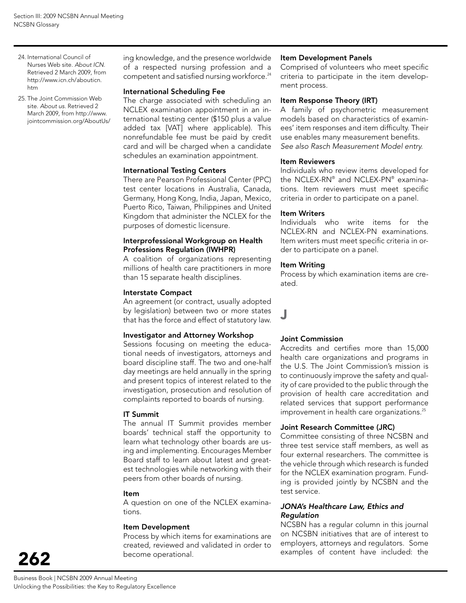- 24. International Council of Nurses Web site. *About ICN.* Retrieved 2 March 2009, from http://www.icn.ch/abouticn. htm
- 25. The Joint Commission Web site. *About us.* Retrieved 2 March 2009, from http://www. jointcommission.org/AboutUs/

ing knowledge, and the presence worldwide of a respected nursing profession and a competent and satisfied nursing workforce.<sup>24</sup>

#### International Scheduling Fee

The charge associated with scheduling an NCLEX examination appointment in an international testing center (\$150 plus a value added tax [VAT] where applicable). This nonrefundable fee must be paid by credit card and will be charged when a candidate schedules an examination appointment.

#### International Testing Centers

There are Pearson Professional Center (PPC) test center locations in Australia, Canada, Germany, Hong Kong, India, Japan, Mexico, Puerto Rico, Taiwan, Philippines and United Kingdom that administer the NCLEX for the purposes of domestic licensure.

#### Interprofessional Workgroup on Health Professions Regulation (IWHPR)

A coalition of organizations representing millions of health care practitioners in more than 15 separate health disciplines.

#### Interstate Compact

An agreement (or contract, usually adopted by legislation) between two or more states that has the force and effect of statutory law.

#### Investigator and Attorney Workshop

Sessions focusing on meeting the educational needs of investigators, attorneys and board discipline staff. The two and one-half day meetings are held annually in the spring and present topics of interest related to the investigation, prosecution and resolution of complaints reported to boards of nursing.

#### IT Summit

The annual IT Summit provides member boards' technical staff the opportunity to learn what technology other boards are using and implementing. Encourages Member Board staff to learn about latest and greatest technologies while networking with their peers from other boards of nursing.

#### Item

A question on one of the NCLEX examinations.

#### Item Development

Process by which items for examinations are created, reviewed and validated in order to become operational.

#### Item Development Panels

Comprised of volunteers who meet specific criteria to participate in the item development process.

#### Item Response Theory (IRT)

A family of psychometric measurement models based on characteristics of examinees' item responses and item difficulty. Their use enables many measurement benefits. *See also Rasch Measurement Model entry.*

#### Item Reviewers

Individuals who review items developed for the NCLEX-RN® and NCLEX-PN® examinations. Item reviewers must meet specific criteria in order to participate on a panel.

#### Item Writers

Individuals who write items for the NCLEX-RN and NCLEX-PN examinations. Item writers must meet specific criteria in order to participate on a panel.

#### Item Writing

Process by which examination items are created.

# J

#### Joint Commission

Accredits and certifies more than 15,000 health care organizations and programs in the U.S. The Joint Commission's mission is to continuously improve the safety and quality of care provided to the public through the provision of health care accreditation and related services that support performance improvement in health care organizations.<sup>25</sup>

#### Joint Research Committee (JRC)

Committee consisting of three NCSBN and three test service staff members, as well as four external researchers. The committee is the vehicle through which research is funded for the NCLEX examination program. Funding is provided jointly by NCSBN and the test service.

#### *JONA's Healthcare Law, Ethics and Regulation*

NCSBN has a regular column in this journal on NCSBN initiatives that are of interest to employers, attorneys and regulators. Some examples of content have included: the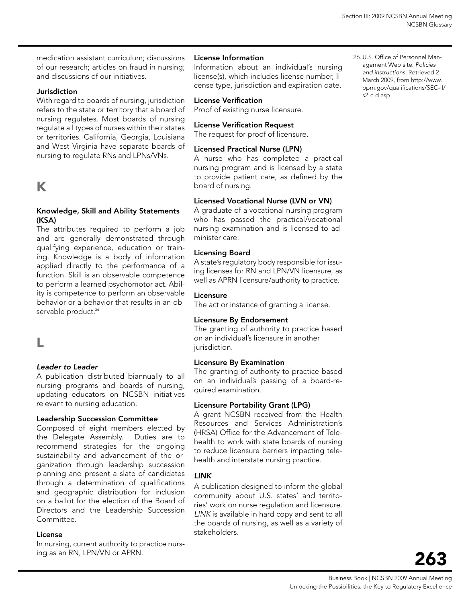26. U.S. Office of Personnel Management Web site. *Policies and instructions*. Retrieved 2 March 2009, from http://www. opm.gov/qualifications/SEC-II/

s2-c-d.asp

medication assistant curriculum; discussions of our research; articles on fraud in nursing; and discussions of our initiatives.

#### Jurisdiction

With regard to boards of nursing, jurisdiction refers to the state or territory that a board of nursing regulates. Most boards of nursing regulate all types of nurses within their states or territories. California, Georgia, Louisiana and West Virginia have separate boards of nursing to regulate RNs and LPNs/VNs.

# K

#### Knowledge, Skill and Ability statements (KSA)

The attributes required to perform a job and are generally demonstrated through qualifying experience, education or training. Knowledge is a body of information applied directly to the performance of a function. Skill is an observable competence to perform a learned psychomotor act. Ability is competence to perform an observable behavior or a behavior that results in an observable product.<sup>26</sup>

# L

#### *Leader to Leader*

A publication distributed biannually to all nursing programs and boards of nursing, updating educators on NCSBN initiatives relevant to nursing education.

#### Leadership Succession Committee

Composed of eight members elected by the Delegate Assembly. Duties are to recommend strategies for the ongoing sustainability and advancement of the organization through leadership succession planning and present a slate of candidates through a determination of qualifications and geographic distribution for inclusion on a ballot for the election of the Board of Directors and the Leadership Succession Committee.

#### License

In nursing, current authority to practice nursing as an RN, LPN/VN or APRN.

#### License Information

Information about an individual's nursing license(s), which includes license number, license type, jurisdiction and expiration date.

#### License Verification

Proof of existing nurse licensure.

#### License Verification Request

The request for proof of licensure.

#### Licensed Practical Nurse (LPN)

A nurse who has completed a practical nursing program and is licensed by a state to provide patient care, as defined by the board of nursing.

#### Licensed Vocational Nurse (LVN or VN)

A graduate of a vocational nursing program who has passed the practical/vocational nursing examination and is licensed to administer care.

#### Licensing Board

A state's regulatory body responsible for issuing licenses for RN and LPN/VN licensure, as well as APRN licensure/authority to practice.

#### Licensure

The act or instance of granting a license.

#### Licensure By Endorsement

The granting of authority to practice based on an individual's licensure in another jurisdiction.

#### Licensure By Examination

The granting of authority to practice based on an individual's passing of a board-required examination.

#### Licensure Portability Grant (LPG)

A grant NCSBN received from the Health Resources and Services Administration's (HRSA) Office for the Advancement of Telehealth to work with state boards of nursing to reduce licensure barriers impacting telehealth and interstate nursing practice.

#### *LINK*

A publication designed to inform the global community about U.S. states' and territories' work on nurse regulation and licensure. *LINK* is available in hard copy and sent to all the boards of nursing, as well as a variety of stakeholders.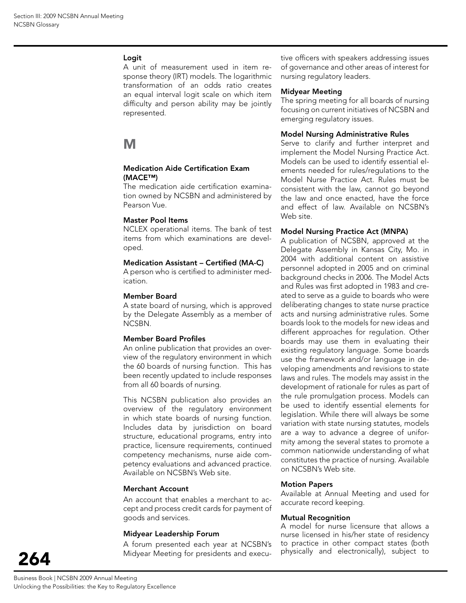#### Logit

A unit of measurement used in item response theory (IRT) models. The logarithmic transformation of an odds ratio creates an equal interval logit scale on which item difficulty and person ability may be jointly represented.

# M

#### Medication Aide Certification Exam (MACE™)

The medication aide certification examination owned by NCSBN and administered by Pearson Vue.

#### Master Pool Items

NCLEX operational items. The bank of test items from which examinations are developed.

#### Medication Assistant – Certified (MA-C)

A person who is certified to administer medication.

#### Member Board

A state board of nursing, which is approved by the Delegate Assembly as a member of NCSBN.

#### Member Board Profiles

An online publication that provides an overview of the regulatory environment in which the 60 boards of nursing function. This has been recently updated to include responses from all 60 boards of nursing.

This NCSBN publication also provides an overview of the regulatory environment in which state boards of nursing function. Includes data by jurisdiction on board structure, educational programs, entry into practice, licensure requirements, continued competency mechanisms, nurse aide competency evaluations and advanced practice. Available on NCSBN's Web site.

#### Merchant Account

An account that enables a merchant to accept and process credit cards for payment of goods and services.

#### Midyear Leadership Forum

A forum presented each year at NCSBN's Midyear Meeting for presidents and executive officers with speakers addressing issues of governance and other areas of interest for nursing regulatory leaders.

#### Midyear Meeting

The spring meeting for all boards of nursing focusing on current initiatives of NCSBN and emerging regulatory issues.

#### Model Nursing Administrative Rules

Serve to clarify and further interpret and implement the Model Nursing Practice Act. Models can be used to identify essential elements needed for rules/regulations to the Model Nurse Practice Act. Rules must be consistent with the law, cannot go beyond the law and once enacted, have the force and effect of law. Available on NCSBN's Web site.

#### Model Nursing Practice Act (MNPA)

A publication of NCSBN, approved at the Delegate Assembly in Kansas City, Mo. in 2004 with additional content on assistive personnel adopted in 2005 and on criminal background checks in 2006. The Model Acts and Rules was first adopted in 1983 and created to serve as a guide to boards who were deliberating changes to state nurse practice acts and nursing administrative rules. Some boards look to the models for new ideas and different approaches for regulation. Other boards may use them in evaluating their existing regulatory language. Some boards use the framework and/or language in developing amendments and revisions to state laws and rules. The models may assist in the development of rationale for rules as part of the rule promulgation process. Models can be used to identify essential elements for legislation. While there will always be some variation with state nursing statutes, models are a way to advance a degree of uniformity among the several states to promote a common nationwide understanding of what constitutes the practice of nursing. Available on NCSBN's Web site.

#### Motion Papers

Available at Annual Meeting and used for accurate record keeping.

#### Mutual Recognition

A model for nurse licensure that allows a nurse licensed in his/her state of residency to practice in other compact states (both physically and electronically), subject to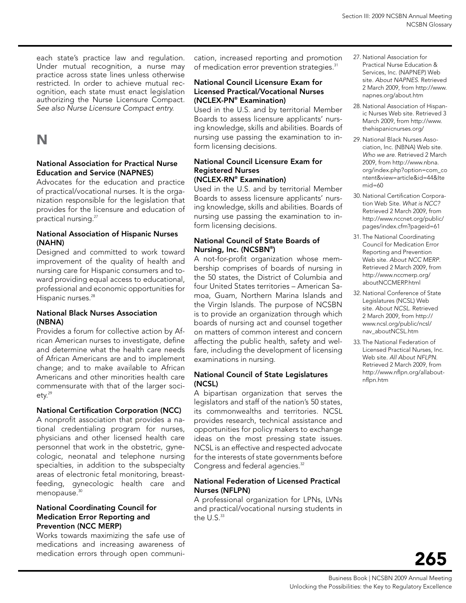each state's practice law and regulation. Under mutual recognition, a nurse may practice across state lines unless otherwise restricted. In order to achieve mutual recognition, each state must enact legislation authorizing the Nurse Licensure Compact. *See also Nurse Licensure Compact entry.*

# N

#### National Association for Practical Nurse Education and Service (NAPNES)

Advocates for the education and practice of practical/vocational nurses. It is the organization responsible for the legislation that provides for the licensure and education of practical nursing.27

#### National Association of Hispanic Nurses (NAHN)

Designed and committed to work toward improvement of the quality of health and nursing care for Hispanic consumers and toward providing equal access to educational, professional and economic opportunities for Hispanic nurses.<sup>28</sup>

#### National Black Nurses Association (NBNA)

Provides a forum for collective action by African American nurses to investigate, define and determine what the health care needs of African Americans are and to implement change; and to make available to African Americans and other minorities health care commensurate with that of the larger soci $ety.<sup>29</sup>$ 

#### National Certification Corporation (NCC)

A nonprofit association that provides a national credentialing program for nurses, physicians and other licensed health care personnel that work in the obstetric, gynecologic, neonatal and telephone nursing specialties, in addition to the subspecialty areas of electronic fetal monitoring, breastfeeding, gynecologic health care and menopause.<sup>30</sup>

#### National Coordinating Council for Medication Error Reporting and Prevention (NCC MERP)

Works towards maximizing the safe use of medications and increasing awareness of medication errors through open communi-

cation, increased reporting and promotion of medication error prevention strategies.<sup>31</sup>

#### National Council Licensure Exam for Licensed Practical/Vocational Nurses (NCLEX-PN® Examination)

Used in the U.S. and by territorial Member Boards to assess licensure applicants' nursing knowledge, skills and abilities. Boards of nursing use passing the examination to inform licensing decisions.

#### National Council Licensure Exam for Registered Nurses (NCLEX-RN® Examination)

Used in the U.S. and by territorial Member Boards to assess licensure applicants' nursing knowledge, skills and abilities. Boards of nursing use passing the examination to inform licensing decisions.

#### National Council of State Boards of Nursing, Inc. (NCSBN® )

A not-for-profit organization whose membership comprises of boards of nursing in the 50 states, the District of Columbia and four United States territories – American Samoa, Guam, Northern Marina Islands and the Virgin Islands. The purpose of NCSBN is to provide an organization through which boards of nursing act and counsel together on matters of common interest and concern affecting the public health, safety and welfare, including the development of licensing examinations in nursing.

#### National Council of State Legislatures (NCSL)

A bipartisan organization that serves the legislators and staff of the nation's 50 states, its commonwealths and territories. NCSL provides research, technical assistance and opportunities for policy makers to exchange ideas on the most pressing state issues. NCSL is an effective and respected advocate for the interests of state governments before Congress and federal agencies.<sup>32</sup>

#### National Federation of Licensed Practical Nurses (NFLPN)

A professional organization for LPNs, LVNs and practical/vocational nursing students in the  $U.S.<sup>33</sup>$ 

- 27. National Association for Practical Nurse Education & Services, Inc. (NAPNEP) Web site. *About NAPNES*. Retrieved 2 March 2009, from http://www. napnes.org/about.htm
- 28. National Association of Hispanic Nurses Web site. Retrieved 3 March 2009, from http://www. thehispanicnurses.org/
- 29. National Black Nurses Association, Inc. (NBNA) Web site. *Who we are.* Retrieved 2 March 2009, from http://www.nbna. org/index.php?option=com\_co ntent&view=article&id=44&Ite mid=60
- 30. National Certification Corporation Web Site. *What is NCC?* Retrieved 2 March 2009, from http://www.nccnet.org/public/ pages/index.cfm?pageid=61
- 31. The National Coordinating Council for Medication Error Reporting and Prevention Web site. *About NCC MERP*. Retrieved 2 March 2009, from http://www.nccmerp.org/ aboutNCCMERP.html
- 32. National Conference of State Legislatures (NCSL) Web site. *About NCSL*. Retrieved 2 March 2009, from http:// www.ncsl.org/public/ncsl/ nav\_aboutNCSL.htm
- 33. The National Federation of Licensed Practical Nurses, Inc. Web site. *All About NFLPN*. Retrieved 2 March 2009, from http://www.nflpn.org/allaboutnflpn.htm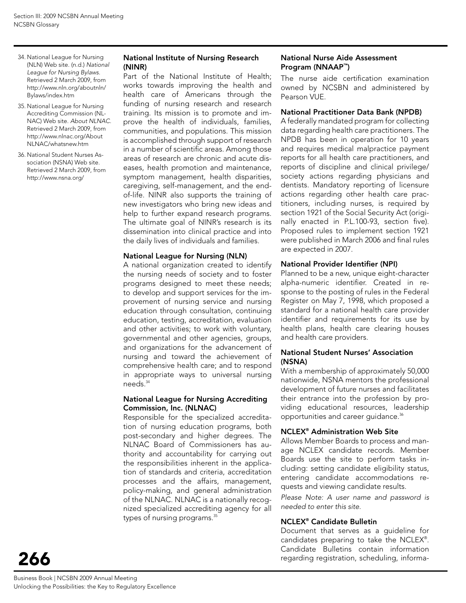- 34. National League for Nursing (NLN) Web site. (n.d.) *National League for Nursing Bylaws.* Retrieved 2 March 2009, from http://www.nln.org/aboutnln/ Bylaws/index.htm
- 35. National League for Nursing Accrediting Commission (NL-NAC) Web site. *About NLNAC*. Retrieved 2 March 2009, from http://www.nlnac.org/About NLNAC/whatsnew.htm
- 36. National Student Nurses Association (NSNA) Web site. Retrieved 2 March 2009, from http://www.nsna.org/

#### National Institute of Nursing Research (NINR)

Part of the National Institute of Health; works towards improving the health and health care of Americans through the funding of nursing research and research training. Its mission is to promote and improve the health of individuals, families, communities, and populations. This mission is accomplished through support of research in a number of scientific areas. Among those areas of research are chronic and acute diseases, health promotion and maintenance, symptom management, health disparities, caregiving, self-management, and the endof-life. NINR also supports the training of new investigators who bring new ideas and help to further expand research programs. The ultimate goal of NINR's research is its dissemination into clinical practice and into the daily lives of individuals and families.

#### National League for Nursing (NLN)

A national organization created to identify the nursing needs of society and to foster programs designed to meet these needs; to develop and support services for the improvement of nursing service and nursing education through consultation, continuing education, testing, accreditation, evaluation and other activities; to work with voluntary, governmental and other agencies, groups, and organizations for the advancement of nursing and toward the achievement of comprehensive health care; and to respond in appropriate ways to universal nursing needs.34

#### National League for Nursing Accrediting Commission, Inc. (NLNAC)

Responsible for the specialized accreditation of nursing education programs, both post-secondary and higher degrees. The NLNAC Board of Commissioners has authority and accountability for carrying out the responsibilities inherent in the application of standards and criteria, accreditation processes and the affairs, management, policy-making, and general administration of the NLNAC. NLNAC is a nationally recognized specialized accrediting agency for all types of nursing programs.<sup>35</sup>

#### National Nurse Aide Assessment Program (NNAAP™)

The nurse aide certification examination owned by NCSBN and administered by Pearson VUE.

#### National Practitioner Data Bank (NPDB)

A federally mandated program for collecting data regarding health care practitioners. The NPDB has been in operation for 10 years and requires medical malpractice payment reports for all health care practitioners, and reports of discipline and clinical privilege/ society actions regarding physicians and dentists. Mandatory reporting of licensure actions regarding other health care practitioners, including nurses, is required by section 1921 of the Social Security Act (originally enacted in P.L.100-93, section five). Proposed rules to implement section 1921 were published in March 2006 and final rules are expected in 2007.

#### National Provider Identifier (NPI)

Planned to be a new, unique eight-character alpha-numeric identifier. Created in response to the posting of rules in the Federal Register on May 7, 1998, which proposed a standard for a national health care provider identifier and requirements for its use by health plans, health care clearing houses and health care providers.

#### National Student Nurses' Association (NSNA)

With a membership of approximately 50,000 nationwide, NSNA mentors the professional development of future nurses and facilitates their entrance into the profession by providing educational resources, leadership opportunities and career quidance.<sup>36</sup>

#### NCLEX® Administration Web Site

Allows Member Boards to process and manage NCLEX candidate records. Member Boards use the site to perform tasks including: setting candidate eligibility status, entering candidate accommodations requests and viewing candidate results.

*Please Note: A user name and password is needed to enter this site.*

#### NCLEX® Candidate Bulletin

Document that serves as a guideline for candidates preparing to take the NCLEX® . Candidate Bulletins contain information regarding registration, scheduling, informa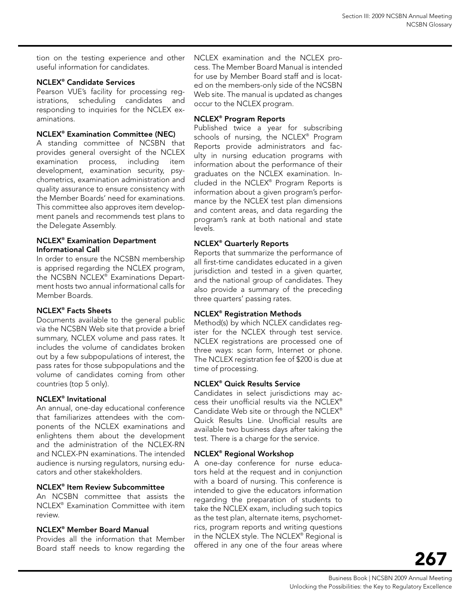tion on the testing experience and other useful information for candidates.

#### NCLEX® Candidate Services

Pearson VUE's facility for processing registrations, scheduling candidates and responding to inquiries for the NCLEX examinations.

#### NCLEX® Examination Committee (NEC)

A standing committee of NCSBN that provides general oversight of the NCLEX examination process, including item development, examination security, psychometrics, examination administration and quality assurance to ensure consistency with the Member Boards' need for examinations. This committee also approves item development panels and recommends test plans to the Delegate Assembly.

#### NCLEX® Examination Department Informational Call

In order to ensure the NCSBN membership is apprised regarding the NCLEX program, the NCSBN NCLEX® Examinations Department hosts two annual informational calls for Member Boards.

#### NCLEX® Facts Sheets

Documents available to the general public via the NCSBN Web site that provide a brief summary, NCLEX volume and pass rates. It includes the volume of candidates broken out by a few subpopulations of interest, the pass rates for those subpopulations and the volume of candidates coming from other countries (top 5 only).

#### NCLEX® Invitational

An annual, one-day educational conference that familiarizes attendees with the components of the NCLEX examinations and enlightens them about the development and the administration of the NCLEX-RN and NCLEX-PN examinations. The intended audience is nursing regulators, nursing educators and other stakekholders.

#### NCLEX® Item Review Subcommittee

An NCSBN committee that assists the NCLEX® Examination Committee with item review.

#### NCLEX® Member Board Manual

Provides all the information that Member Board staff needs to know regarding the NCLEX examination and the NCLEX process. The Member Board Manual is intended for use by Member Board staff and is located on the members-only side of the NCSBN Web site. The manual is updated as changes occur to the NCLEX program.

#### NCLEX® Program Reports

Published twice a year for subscribing schools of nursing, the NCLEX® Program Reports provide administrators and faculty in nursing education programs with information about the performance of their graduates on the NCLEX examination. Included in the NCLEX® Program Reports is information about a given program's performance by the NCLEX test plan dimensions and content areas, and data regarding the program's rank at both national and state levels.

#### NCLEX® Quarterly Reports

Reports that summarize the performance of all first-time candidates educated in a given jurisdiction and tested in a given quarter, and the national group of candidates. They also provide a summary of the preceding three quarters' passing rates.

#### NCLEX® Registration Methods

Method(s) by which NCLEX candidates register for the NCLEX through test service. NCLEX registrations are processed one of three ways: scan form, Internet or phone. The NCLEX registration fee of \$200 is due at time of processing.

#### NCLEX® Quick Results Service

Candidates in select jurisdictions may access their unofficial results via the NCLEX® Candidate Web site or through the NCLEX® Quick Results Line. Unofficial results are available two business days after taking the test. There is a charge for the service.

#### NCLEX® Regional Workshop

A one-day conference for nurse educators held at the request and in conjunction with a board of nursing. This conference is intended to give the educators information regarding the preparation of students to take the NCLEX exam, including such topics as the test plan, alternate items, psychometrics, program reports and writing questions in the NCLEX style. The NCLEX® Regional is offered in any one of the four areas where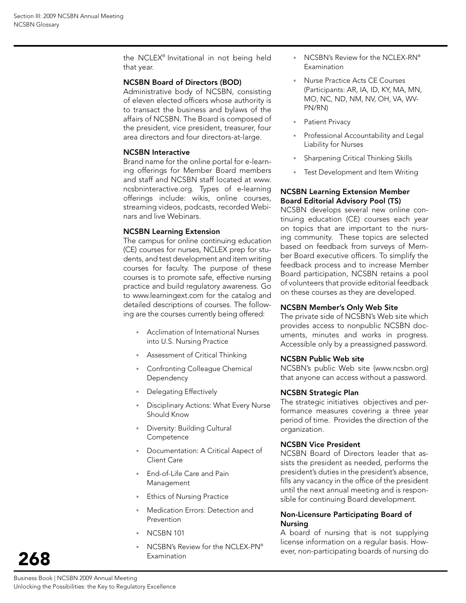the NCLEX® Invitational in not being held that year.

#### NCSBN Board of Directors (BOD)

Administrative body of NCSBN, consisting of eleven elected officers whose authority is to transact the business and bylaws of the affairs of NCSBN. The Board is composed of the president, vice president, treasurer, four area directors and four directors-at-large.

#### NCSBN Interactive

Brand name for the online portal for e-learning offerings for Member Board members and staff and NCSBN staff located at www. ncsbninteractive.org. Types of e-learning offerings include: wikis, online courses, streaming videos, podcasts, recorded Webinars and live Webinars.

#### NCSBN Learning Extension

The campus for online continuing education (CE) courses for nurses, NCLEX prep for students, and test development and item writing courses for faculty. The purpose of these courses is to promote safe, effective nursing practice and build regulatory awareness. Go to www.learningext.com for the catalog and detailed descriptions of courses. The following are the courses currently being offered:

- Acclimation of International Nurses into U.S. Nursing Practice
- Assessment of Critical Thinking
- Confronting Colleague Chemical **Dependency**
- Delegating Effectively
- Disciplinary Actions: What Every Nurse Should Know
- Diversity: Building Cultural **Competence**
- Documentation: A Critical Aspect of Client Care
- End-of-Life Care and Pain Management
- Ethics of Nursing Practice
- Medication Errors: Detection and Prevention
- NCSBN 101
- NCSBN's Review for the NCLEX-PN® Examination
- NCSBN's Review for the NCLEX-RN® Examination
- Nurse Practice Acts CE Courses (Participants: AR, IA, ID, KY, MA, MN, MO, NC, ND, NM, NV, OH, VA, WV-PN/RN)
- **Patient Privacy**
- Professional Accountability and Legal Liability for Nurses
- Sharpening Critical Thinking Skills
- **Fast Development and Item Writing**

#### NCSBN Learning Extension Member Board Editorial Advisory Pool (TS)

NCSBN develops several new online continuing education (CE) courses each year on topics that are important to the nursing community. These topics are selected based on feedback from surveys of Member Board executive officers. To simplify the feedback process and to increase Member Board participation, NCSBN retains a pool of volunteers that provide editorial feedback on these courses as they are developed.

#### NCSBN Member's Only Web Site

The private side of NCSBN's Web site which provides access to nonpublic NCSBN documents, minutes and works in progress. Accessible only by a preassigned password.

#### NCSBN Public Web site

NCSBN's public Web site (www.ncsbn.org) that anyone can access without a password.

#### NCSBN Strategic Plan

The strategic initiatives objectives and performance measures covering a three year period of time. Provides the direction of the organization.

#### NCSBN Vice President

NCSBN Board of Directors leader that assists the president as needed, performs the president's duties in the president's absence, fills any vacancy in the office of the president until the next annual meeting and is responsible for continuing Board development.

#### Non-Licensure Participating Board of Nursing

A board of nursing that is not supplying license information on a regular basis. However, non-participating boards of nursing do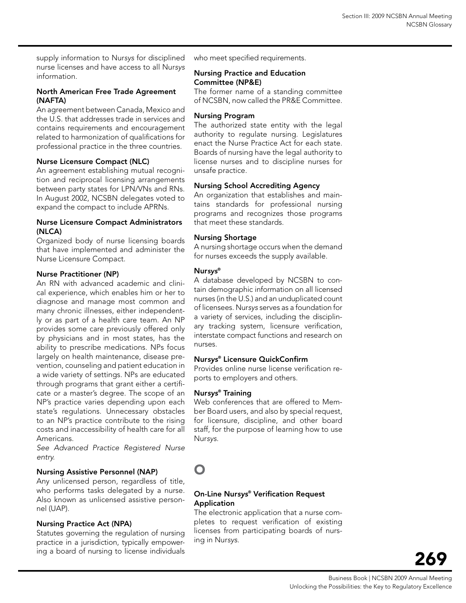supply information to Nur*sys* for disciplined nurse licenses and have access to all Nur*sys* information.

#### North American Free Trade Agreement (NAFTA)

An agreement between Canada, Mexico and the U.S. that addresses trade in services and contains requirements and encouragement related to harmonization of qualifications for professional practice in the three countries.

#### Nurse Licensure Compact (NLC)

An agreement establishing mutual recognition and reciprocal licensing arrangements between party states for LPN/VNs and RNs. In August 2002, NCSBN delegates voted to expand the compact to include APRNs.

#### Nurse Licensure Compact Administrators (NLCA)

Organized body of nurse licensing boards that have implemented and administer the Nurse Licensure Compact.

#### Nurse Practitioner (NP)

An RN with advanced academic and clinical experience, which enables him or her to diagnose and manage most common and many chronic illnesses, either independently or as part of a health care team. An NP provides some care previously offered only by physicians and in most states, has the ability to prescribe medications. NPs focus largely on health maintenance, disease prevention, counseling and patient education in a wide variety of settings. NPs are educated through programs that grant either a certificate or a master's degree. The scope of an NP's practice varies depending upon each state's regulations. Unnecessary obstacles to an NP's practice contribute to the rising costs and inaccessibility of health care for all Americans.

*See Advanced Practice Registered Nurse entry.*

#### Nursing Assistive Personnel (NAP)

Any unlicensed person, regardless of title, who performs tasks delegated by a nurse. Also known as unlicensed assistive personnel (UAP).

#### Nursing Practice Act (NPA)

Statutes governing the regulation of nursing practice in a jurisdiction, typically empowering a board of nursing to license individuals who meet specified requirements.

#### Nursing Practice and Education Committee (NP&E)

The former name of a standing committee of NCSBN, now called the PR&E Committee.

#### Nursing Program

The authorized state entity with the legal authority to regulate nursing. Legislatures enact the Nurse Practice Act for each state. Boards of nursing have the legal authority to license nurses and to discipline nurses for unsafe practice.

#### Nursing School Accrediting Agency

An organization that establishes and maintains standards for professional nursing programs and recognizes those programs that meet these standards.

#### Nursing shortage

A nursing shortage occurs when the demand for nurses exceeds the supply available.

#### Nur*sys*®

A database developed by NCSBN to contain demographic information on all licensed nurses (in the U.S.) and an unduplicated count of licensees. Nur*sys* serves as a foundation for a variety of services, including the disciplinary tracking system, licensure verification, interstate compact functions and research on nurses.

#### Nur*sys*® Licensure QuickConfirm

Provides online nurse license verification reports to employers and others.

#### Nur*sys*® Training

Web conferences that are offered to Member Board users, and also by special request, for licensure, discipline, and other board staff, for the purpose of learning how to use Nur*sys*.

# O

#### On-Line Nur*sys*® Verification Request Application

The electronic application that a nurse completes to request verification of existing licenses from participating boards of nursing in Nur*sys*.

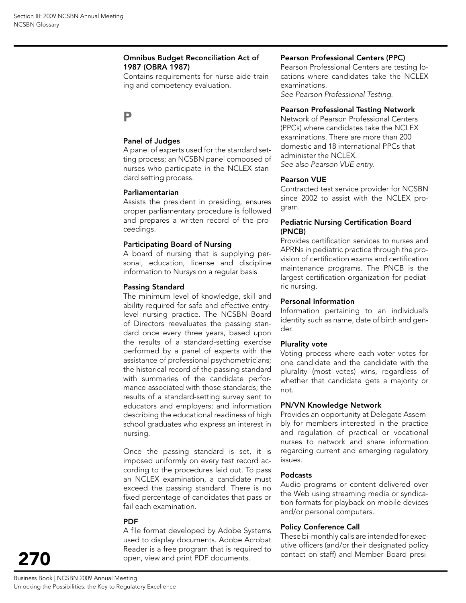#### Omnibus Budget Reconciliation Act of 1987 (OBRA 1987)

Contains requirements for nurse aide training and competency evaluation.

# P

#### Panel of Judges

A panel of experts used for the standard setting process; an NCSBN panel composed of nurses who participate in the NCLEX standard setting process.

#### Parliamentarian

Assists the president in presiding, ensures proper parliamentary procedure is followed and prepares a written record of the proceedings.

#### Participating Board of Nursing

A board of nursing that is supplying personal, education, license and discipline information to Nur*sys* on a regular basis.

#### Passing Standard

The minimum level of knowledge, skill and ability required for safe and effective entrylevel nursing practice. The NCSBN Board of Directors reevaluates the passing standard once every three years, based upon the results of a standard-setting exercise performed by a panel of experts with the assistance of professional psychometricians; the historical record of the passing standard with summaries of the candidate performance associated with those standards; the results of a standard-setting survey sent to educators and employers; and information describing the educational readiness of high school graduates who express an interest in nursing.

Once the passing standard is set, it is imposed uniformly on every test record according to the procedures laid out. To pass an NCLEX examination, a candidate must exceed the passing standard. There is no fixed percentage of candidates that pass or fail each examination.

#### **PDF**

A file format developed by Adobe Systems used to display documents. Adobe Acrobat Reader is a free program that is required to open, view and print PDF documents.

#### Pearson Professional Centers (PPC)

Pearson Professional Centers are testing locations where candidates take the NCLEX examinations.

*See Pearson Professional Testing.*

#### Pearson Professional Testing Network

Network of Pearson Professional Centers (PPCs) where candidates take the NCLEX examinations. There are more than 200 domestic and 18 international PPCs that administer the NCLEX. *See also Pearson VUE entry.*

#### Pearson VUE

Contracted test service provider for NCSBN since 2002 to assist with the NCLEX program.

#### Pediatric Nursing Certification Board (PNCB)

Provides certification services to nurses and APRNs in pediatric practice through the provision of certification exams and certification maintenance programs. The PNCB is the largest certification organization for pediatric nursing.

#### Personal Information

Information pertaining to an individual's identity such as name, date of birth and gender.

#### Plurality vote

Voting process where each voter votes for one candidate and the candidate with the plurality (most votes) wins, regardless of whether that candidate gets a majority or not.

#### PN/VN Knowledge Network

Provides an opportunity at Delegate Assembly for members interested in the practice and regulation of practical or vocational nurses to network and share information regarding current and emerging regulatory issues.

#### Podcasts

Audio programs or content delivered over the Web using streaming media or syndication formats for playback on mobile devices and/or personal computers.

#### Policy Conference Call

These bi-monthly calls are intended for executive officers (and/or their designated policy contact on staff) and Member Board presi-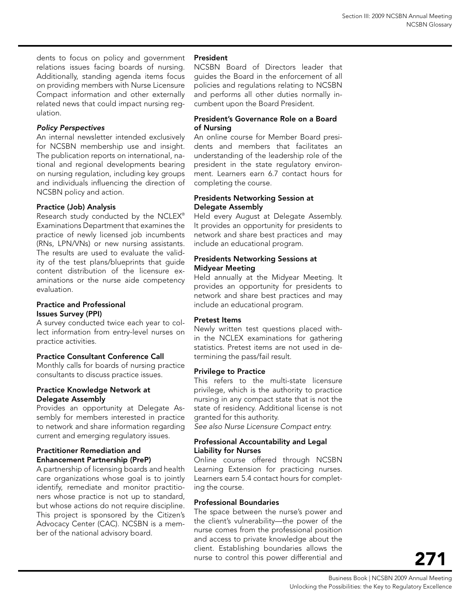dents to focus on policy and government relations issues facing boards of nursing. Additionally, standing agenda items focus on providing members with Nurse Licensure Compact information and other externally related news that could impact nursing regulation.

### *Policy Perspectives*

An internal newsletter intended exclusively for NCSBN membership use and insight. The publication reports on international, national and regional developments bearing on nursing regulation, including key groups and individuals influencing the direction of NCSBN policy and action.

## Practice (Job) Analysis

Research study conducted by the NCLEX® Examinations Department that examines the practice of newly licensed job incumbents (RNs, LPN/VNs) or new nursing assistants. The results are used to evaluate the validity of the test plans/blueprints that guide content distribution of the licensure examinations or the nurse aide competency evaluation.

#### Practice and Professional Issues Survey (PPI)

A survey conducted twice each year to collect information from entry-level nurses on practice activities.

### Practice Consultant Conference Call

Monthly calls for boards of nursing practice consultants to discuss practice issues.

### Practice Knowledge Network at Delegate Assembly

Provides an opportunity at Delegate Assembly for members interested in practice to network and share information regarding current and emerging regulatory issues.

### Practitioner Remediation and Enhancement Partnership (PreP)

A partnership of licensing boards and health care organizations whose goal is to jointly identify, remediate and monitor practitioners whose practice is not up to standard, but whose actions do not require discipline. This project is sponsored by the Citizen's Advocacy Center (CAC). NCSBN is a member of the national advisory board.

### President

NCSBN Board of Directors leader that guides the Board in the enforcement of all policies and regulations relating to NCSBN and performs all other duties normally incumbent upon the Board President.

#### President's Governance Role on a Board of Nursing

An online course for Member Board presidents and members that facilitates an understanding of the leadership role of the president in the state regulatory environment. Learners earn 6.7 contact hours for completing the course.

#### Presidents Networking Session at Delegate Assembly

Held every August at Delegate Assembly. It provides an opportunity for presidents to network and share best practices and may include an educational program.

#### Presidents Networking Sessions at Midyear Meeting

Held annually at the Midyear Meeting. It provides an opportunity for presidents to network and share best practices and may include an educational program.

### Pretest Items

Newly written test questions placed within the NCLEX examinations for gathering statistics. Pretest items are not used in determining the pass/fail result.

### Privilege to Practice

This refers to the multi-state licensure privilege, which is the authority to practice nursing in any compact state that is not the state of residency. Additional license is not granted for this authority.

*See also Nurse Licensure Compact entry.*

#### Professional Accountability and Legal Liability for Nurses

Online course offered through NCSBN Learning Extension for practicing nurses. Learners earn 5.4 contact hours for completing the course.

### Professional Boundaries

The space between the nurse's power and the client's vulnerability—the power of the nurse comes from the professional position and access to private knowledge about the client. Establishing boundaries allows the nurse to control this power differential and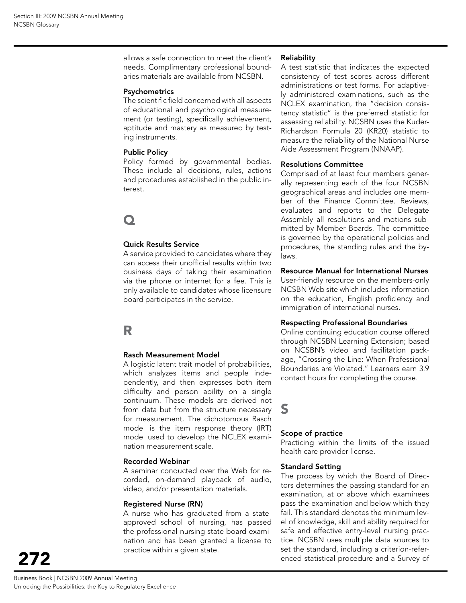allows a safe connection to meet the client's needs. Complimentary professional boundaries materials are available from NCSBN.

#### Psychometrics

The scientific field concerned with all aspects of educational and psychological measurement (or testing), specifically achievement, aptitude and mastery as measured by testing instruments.

#### Public Policy

Policy formed by governmental bodies. These include all decisions, rules, actions and procedures established in the public interest.

# $\mathbf \Omega$

#### Quick Results Service

A service provided to candidates where they can access their unofficial results within two business days of taking their examination via the phone or internet for a fee. This is only available to candidates whose licensure board participates in the service.

# R

#### Rasch Measurement Model

A logistic latent trait model of probabilities, which analyzes items and people independently, and then expresses both item difficulty and person ability on a single continuum. These models are derived not from data but from the structure necessary for measurement. The dichotomous Rasch model is the item response theory (IRT) model used to develop the NCLEX examination measurement scale.

#### Recorded Webinar

A seminar conducted over the Web for recorded, on-demand playback of audio, video, and/or presentation materials.

#### Registered Nurse (RN)

A nurse who has graduated from a stateapproved school of nursing, has passed the professional nursing state board examination and has been granted a license to practice within a given state.

#### Reliability

A test statistic that indicates the expected consistency of test scores across different administrations or test forms. For adaptively administered examinations, such as the NCLEX examination, the "decision consistency statistic" is the preferred statistic for assessing reliability. NCSBN uses the Kuder-Richardson Formula 20 (KR20) statistic to measure the reliability of the National Nurse Aide Assessment Program (NNAAP).

#### Resolutions Committee

Comprised of at least four members generally representing each of the four NCSBN geographical areas and includes one member of the Finance Committee. Reviews, evaluates and reports to the Delegate Assembly all resolutions and motions submitted by Member Boards. The committee is governed by the operational policies and procedures, the standing rules and the bylaws.

#### Resource Manual for International Nurses

User-friendly resource on the members-only NCSBN Web site which includes information on the education, English proficiency and immigration of international nurses.

#### Respecting Professional Boundaries

Online continuing education course offered through NCSBN Learning Extension; based on NCSBN's video and facilitation package, "Crossing the Line: When Professional Boundaries are Violated." Learners earn 3.9 contact hours for completing the course.

# S

#### Scope of practice

Practicing within the limits of the issued health care provider license.

#### Standard Setting

The process by which the Board of Directors determines the passing standard for an examination, at or above which examinees pass the examination and below which they fail. This standard denotes the minimum level of knowledge, skill and ability required for safe and effective entry-level nursing practice. NCSBN uses multiple data sources to set the standard, including a criterion-referenced statistical procedure and a Survey of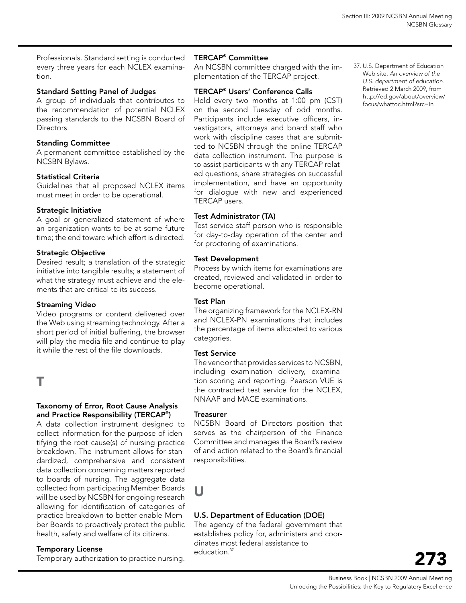Professionals. Standard setting is conducted every three years for each NCLEX examination.

## Standard Setting Panel of Judges

A group of individuals that contributes to the recommendation of potential NCLEX passing standards to the NCSBN Board of Directors.

### Standing committee

A permanent committee established by the NCSBN Bylaws.

## Statistical criteria

Guidelines that all proposed NCLEX items must meet in order to be operational.

### Strategic Initiative

A goal or generalized statement of where an organization wants to be at some future time; the end toward which effort is directed.

## **Strategic Objective**

Desired result; a translation of the strategic initiative into tangible results; a statement of what the strategy must achieve and the elements that are critical to its success.

### Streaming Video

Video programs or content delivered over the Web using streaming technology. After a short period of initial buffering, the browser will play the media file and continue to play it while the rest of the file downloads.

T

### Taxonomy of Error, Root Cause Analysis and Practice Responsibility (TERCAP® )

A data collection instrument designed to collect information for the purpose of identifying the root cause(s) of nursing practice breakdown. The instrument allows for standardized, comprehensive and consistent data collection concerning matters reported to boards of nursing. The aggregate data collected from participating Member Boards will be used by NCSBN for ongoing research allowing for identification of categories of practice breakdown to better enable Member Boards to proactively protect the public health, safety and welfare of its citizens.

# Temporary License

Temporary authorization to practice nursing.

## TERCAP® Committee

An NCSBN committee charged with the implementation of the TERCAP project.

### TERCAP® Users' Conference Calls

Held every two months at 1:00 pm (CST) on the second Tuesday of odd months. Participants include executive officers, investigators, attorneys and board staff who work with discipline cases that are submitted to NCSBN through the online TERCAP data collection instrument. The purpose is to assist participants with any TERCAP related questions, share strategies on successful implementation, and have an opportunity for dialogue with new and experienced TERCAP users.

# Test Administrator (TA)

Test service staff person who is responsible for day-to-day operation of the center and for proctoring of examinations.

#### **Test Development**

Process by which items for examinations are created, reviewed and validated in order to become operational.

#### Test Plan

The organizing framework for the NCLEX-RN and NCLEX-PN examinations that includes the percentage of items allocated to various categories.

#### Test Service

The vendor that provides services to NCSBN, including examination delivery, examination scoring and reporting. Pearson VUE is the contracted test service for the NCLEX, NNAAP and MACE examinations.

#### **Treasurer**

NCSBN Board of Directors position that serves as the chairperson of the Finance Committee and manages the Board's review of and action related to the Board's financial responsibilities.

# U

### U.S. Department of Education (DOE)

The agency of the federal government that establishes policy for, administers and coordinates most federal assistance to education.<sup>37</sup>

37. U.S. Department of Education Web site. *An overview of the U.S. department of education.* Retrieved 2 March 2009, from http://ed.gov/about/overview/ focus/whattoc.html?src=In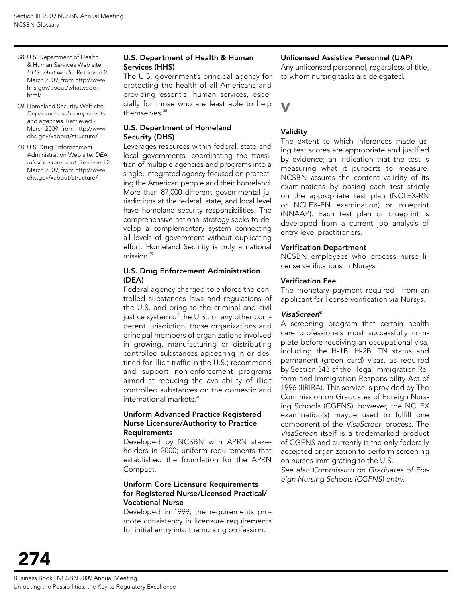- 38. U.S. Department of Health & Human Services Web site. *HHS: what we do.* Retrieved 2 March 2009, from http://www. hhs.gov/about/whatwedo. html/
- 39. Homeland Security Web site. *Department subcomponents and agencies.* Retrieved 2 March 2009, from http://www. dhs.gov/xabout/structure/
- 40. U.S. Drug Enforecement Administration Web site. *DEA mission statement.* Retrieved 2 March 2009, from http://www. dhs.gov/xabout/structure/

#### U.S. Department of Health & Human Services (HHS)

The U.S. government's principal agency for protecting the health of all Americans and providing essential human services, especially for those who are least able to help themselves.38

#### U.S. Department of Homeland Security (DHS)

Leverages resources within federal, state and local governments, coordinating the transition of multiple agencies and programs into a single, integrated agency focused on protecting the American people and their homeland. More than 87,000 different governmental jurisdictions at the federal, state, and local level have homeland security responsibilities. The comprehensive national strategy seeks to develop a complementary system connecting all levels of government without duplicating effort. Homeland Security is truly a national mission.<sup>39</sup>

#### U.S. Drug Enforcement Administration (DEA)

Federal agency charged to enforce the controlled substances laws and regulations of the U.S. and bring to the criminal and civil justice system of the U.S., or any other competent jurisdiction, those organizations and principal members of organizations involved in growing, manufacturing or distributing controlled substances appearing in or destined for illicit traffic in the U.S.; recommend and support non-enforcement programs aimed at reducing the availability of illicit controlled substances on the domestic and international markets.40

#### Uniform Advanced Practice Registered Nurse Licensure/Authority to Practice Requirements

Developed by NCSBN with APRN stakeholders in 2000; uniform requirements that established the foundation for the APRN Compact.

#### Uniform Core Licensure Requirements for Registered Nurse/Licensed Practical/ Vocational Nurse

Developed in 1999, the requirements promote consistency in licensure requirements for initial entry into the nursing profession.

#### Unlicensed Assistive Personnel (UAP)

Any unlicensed personnel, regardless of title, to whom nursing tasks are delegated.

V

#### Validity

The extent to which inferences made using test scores are appropriate and justified by evidence; an indication that the test is measuring what it purports to measure. NCSBN assures the content validity of its examinations by basing each test strictly on the appropriate test plan (NCLEX-RN or NCLEX-PN examination) or blueprint (NNAAP). Each test plan or blueprint is developed from a current job analysis of entry-level practitioners.

#### Verification Department

NCSBN employees who process nurse license verifications in Nur*sys*.

#### Verification Fee

The monetary payment required from an applicant for license verification via Nur*sys*.

#### *VisaScreen*®

A screening program that certain health care professionals must successfully complete before receiving an occupational visa, including the H-1B, H-2B, TN status and permanent (green card) visas, as required by Section 343 of the Illegal Immigration Reform and Immigration Responsibility Act of 1996 (IIRIRA). This service is provided by The Commission on Graduates of Foreign Nursing Schools (CGFNS); however, the NCLEX examination(s) maybe used to fulfill one component of the *VisaScreen* process. The *VisaScreen* itself is a trademarked product of CGFNS and currently is the only federally accepted organization to perform screening on nurses immigrating to the U.S.

*See also Commission on Graduates of Foreign Nursing Schools (CGFNS) entry.*